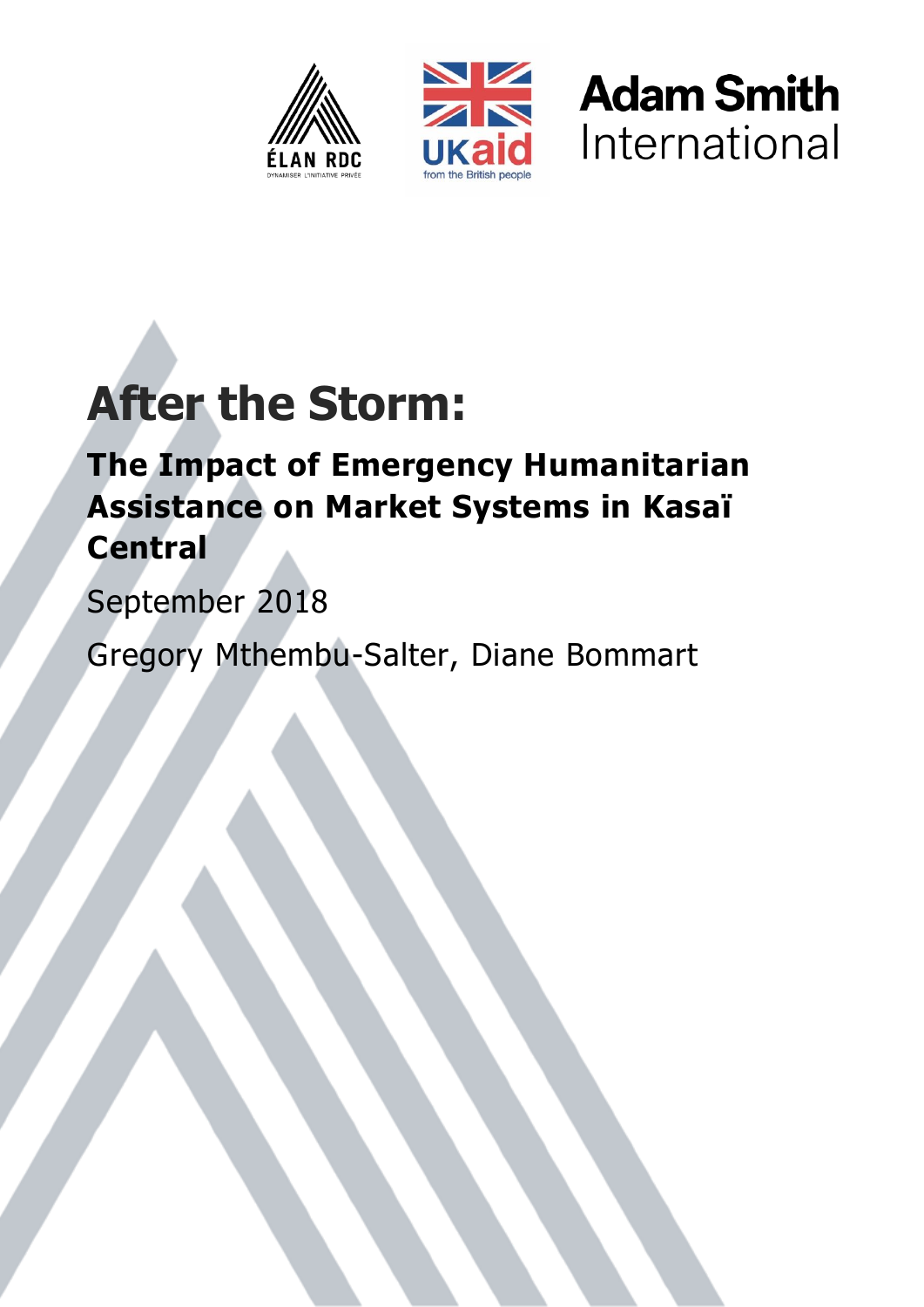





# **After the Storm:**

# **The Impact of Emergency Humanitarian Assistance on Market Systems in Kasaï Central**

September 2018

Gregory Mthembu-Salter, Diane Bommart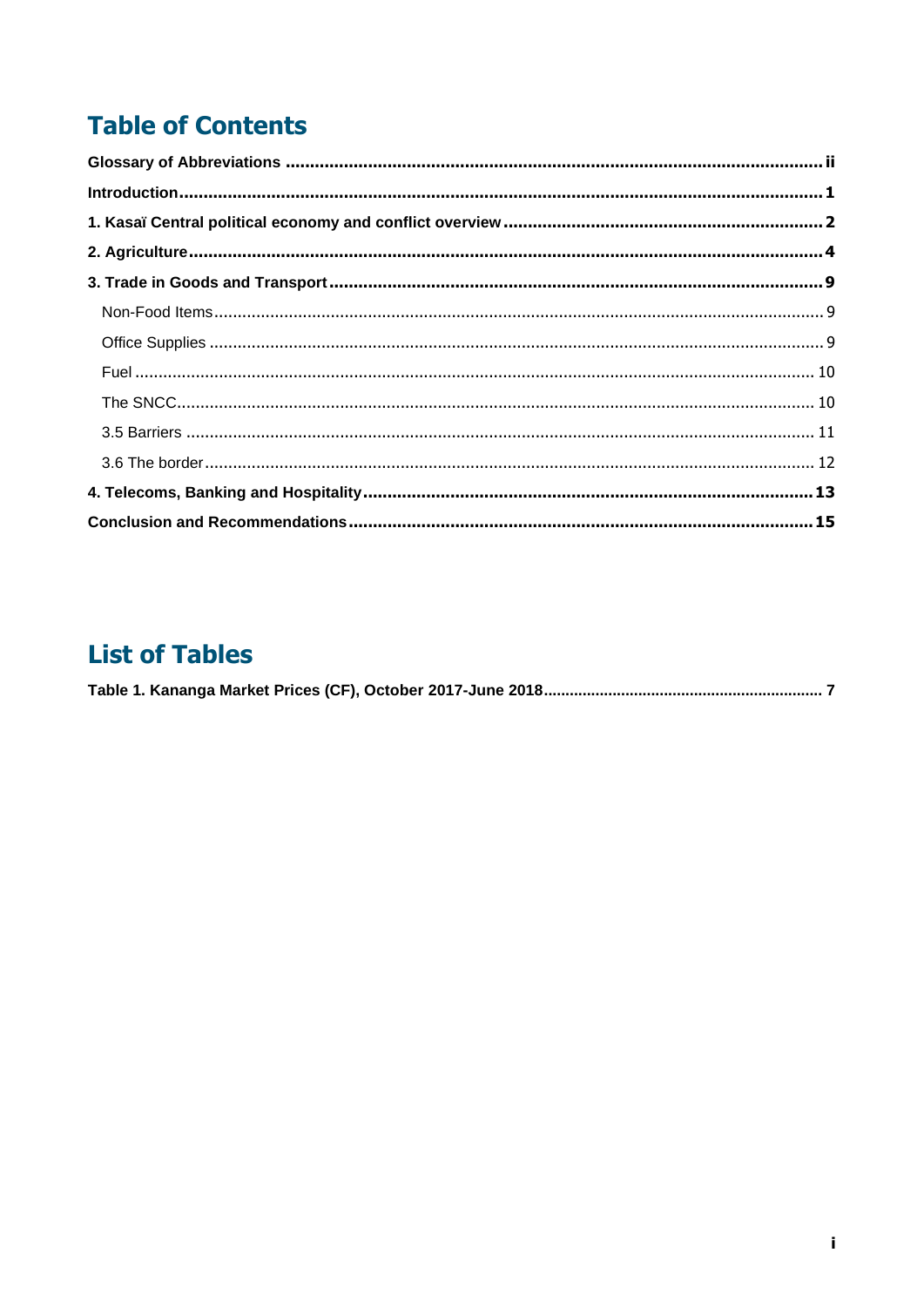# **Table of Contents**

| $\label{lem:1} \text{Introduction}$ |  |
|-------------------------------------|--|
|                                     |  |
|                                     |  |
|                                     |  |
|                                     |  |
|                                     |  |
|                                     |  |
|                                     |  |
|                                     |  |
|                                     |  |
|                                     |  |
|                                     |  |

# **List of Tables**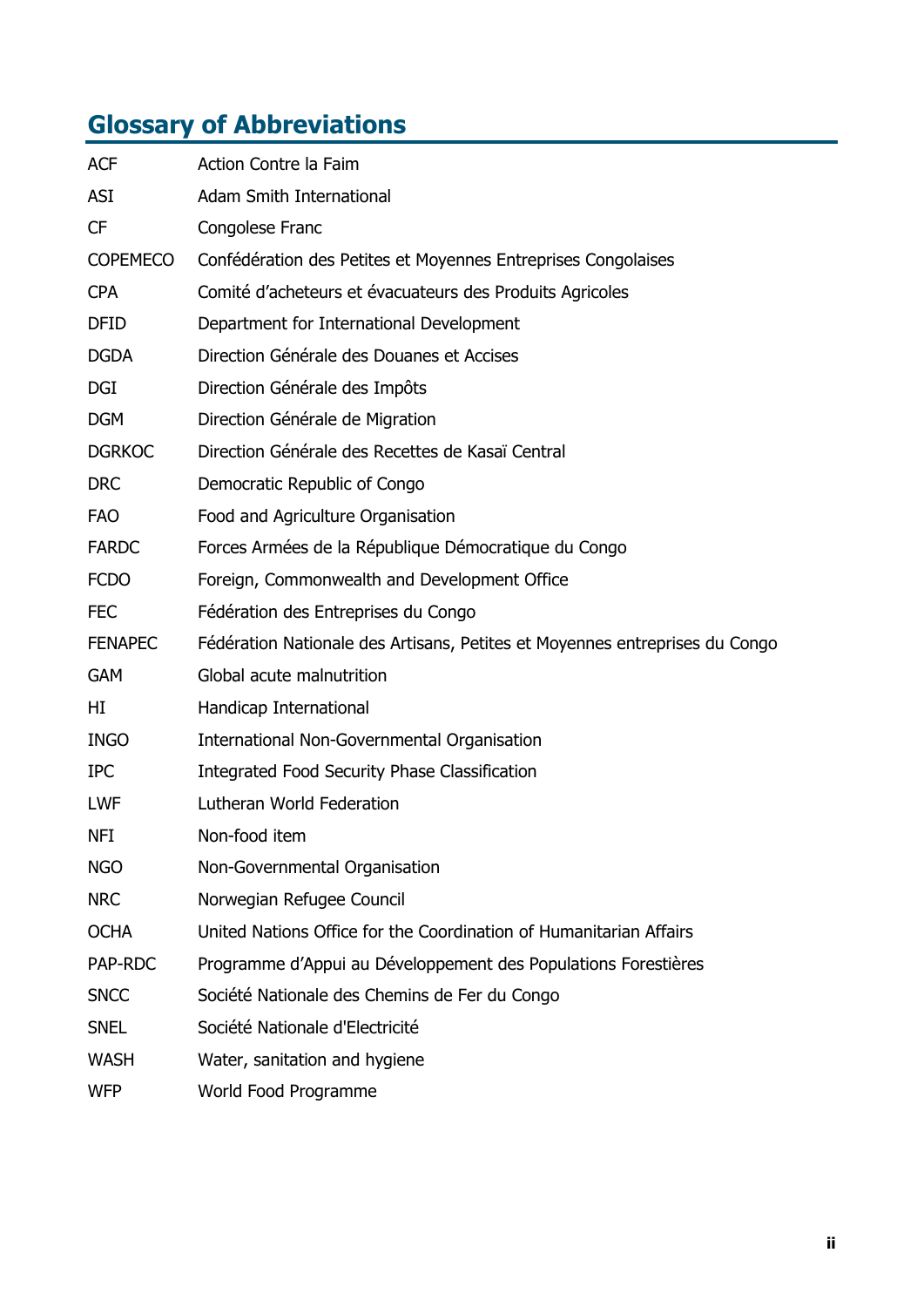# <span id="page-2-0"></span>**Glossary of Abbreviations**

| <b>ACF</b>      | Action Contre la Faim                                                       |
|-----------------|-----------------------------------------------------------------------------|
| ASI             | <b>Adam Smith International</b>                                             |
| <b>CF</b>       | Congolese Franc                                                             |
| <b>COPEMECO</b> | Confédération des Petites et Moyennes Entreprises Congolaises               |
| <b>CPA</b>      | Comité d'acheteurs et évacuateurs des Produits Agricoles                    |
| <b>DFID</b>     | Department for International Development                                    |
| <b>DGDA</b>     | Direction Générale des Douanes et Accises                                   |
| <b>DGI</b>      | Direction Générale des Impôts                                               |
| <b>DGM</b>      | Direction Générale de Migration                                             |
| <b>DGRKOC</b>   | Direction Générale des Recettes de Kasaï Central                            |
| <b>DRC</b>      | Democratic Republic of Congo                                                |
| <b>FAO</b>      | Food and Agriculture Organisation                                           |
| <b>FARDC</b>    | Forces Armées de la République Démocratique du Congo                        |
| <b>FCDO</b>     | Foreign, Commonwealth and Development Office                                |
| <b>FEC</b>      | Fédération des Entreprises du Congo                                         |
| <b>FENAPEC</b>  | Fédération Nationale des Artisans, Petites et Moyennes entreprises du Congo |
| <b>GAM</b>      | Global acute malnutrition                                                   |
| HI              | Handicap International                                                      |
| <b>INGO</b>     | <b>International Non-Governmental Organisation</b>                          |
| <b>IPC</b>      | <b>Integrated Food Security Phase Classification</b>                        |
| <b>LWF</b>      | Lutheran World Federation                                                   |
| <b>NFI</b>      | Non-food item                                                               |
| <b>NGO</b>      | Non-Governmental Organisation                                               |
| <b>NRC</b>      | Norwegian Refugee Council                                                   |
| <b>OCHA</b>     | United Nations Office for the Coordination of Humanitarian Affairs          |
| PAP-RDC         | Programme d'Appui au Développement des Populations Forestières              |
| <b>SNCC</b>     | Société Nationale des Chemins de Fer du Congo                               |
| <b>SNEL</b>     | Société Nationale d'Electricité                                             |
| <b>WASH</b>     | Water, sanitation and hygiene                                               |
| <b>WFP</b>      | World Food Programme                                                        |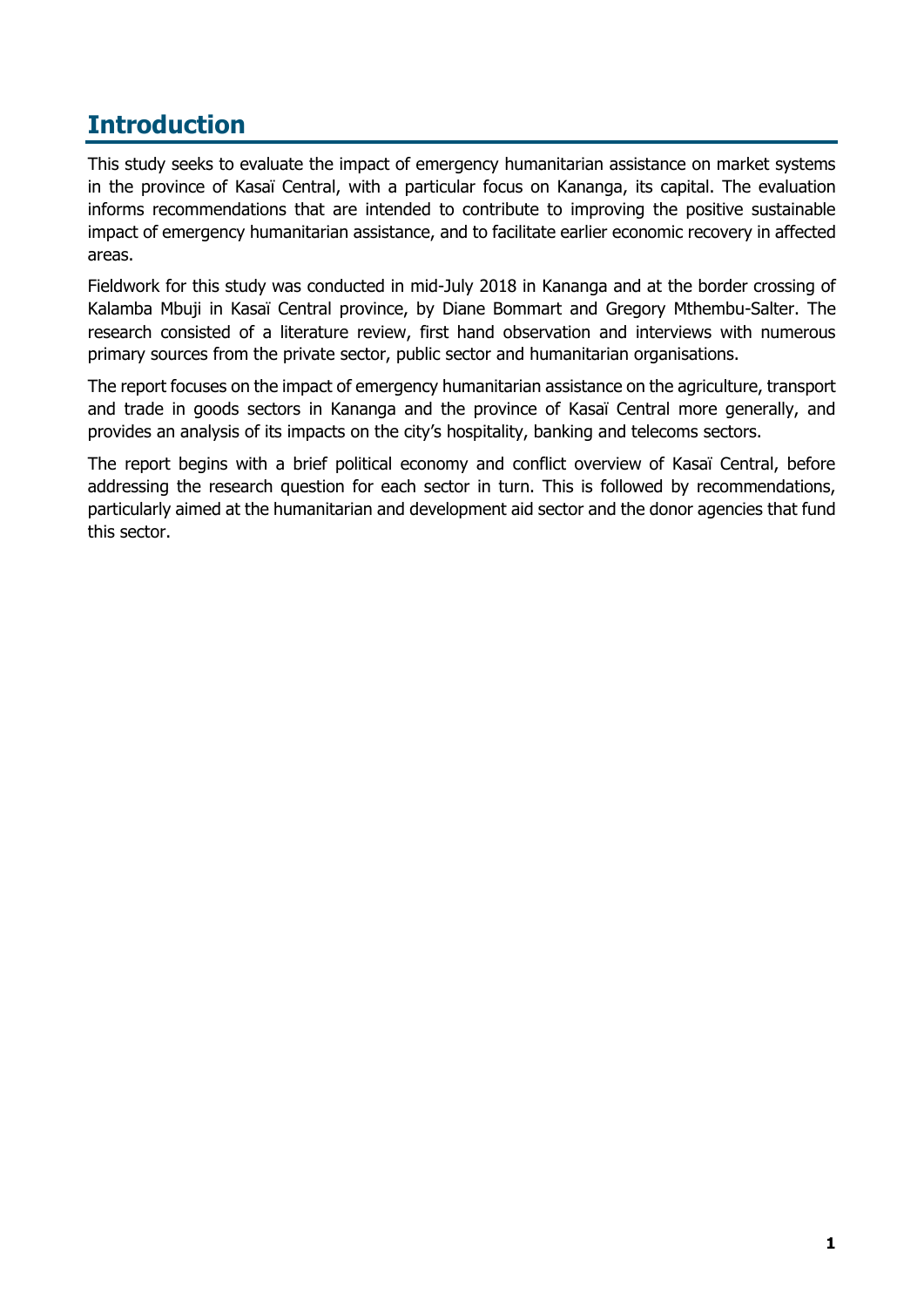### <span id="page-3-0"></span>**Introduction**

This study seeks to evaluate the impact of emergency humanitarian assistance on market systems in the province of Kasaï Central, with a particular focus on Kananga, its capital. The evaluation informs recommendations that are intended to contribute to improving the positive sustainable impact of emergency humanitarian assistance, and to facilitate earlier economic recovery in affected areas.

Fieldwork for this study was conducted in mid-July 2018 in Kananga and at the border crossing of Kalamba Mbuji in Kasaï Central province, by Diane Bommart and Gregory Mthembu-Salter. The research consisted of a literature review, first hand observation and interviews with numerous primary sources from the private sector, public sector and humanitarian organisations.

The report focuses on the impact of emergency humanitarian assistance on the agriculture, transport and trade in goods sectors in Kananga and the province of Kasaï Central more generally, and provides an analysis of its impacts on the city's hospitality, banking and telecoms sectors.

The report begins with a brief political economy and conflict overview of Kasaï Central, before addressing the research question for each sector in turn. This is followed by recommendations, particularly aimed at the humanitarian and development aid sector and the donor agencies that fund this sector.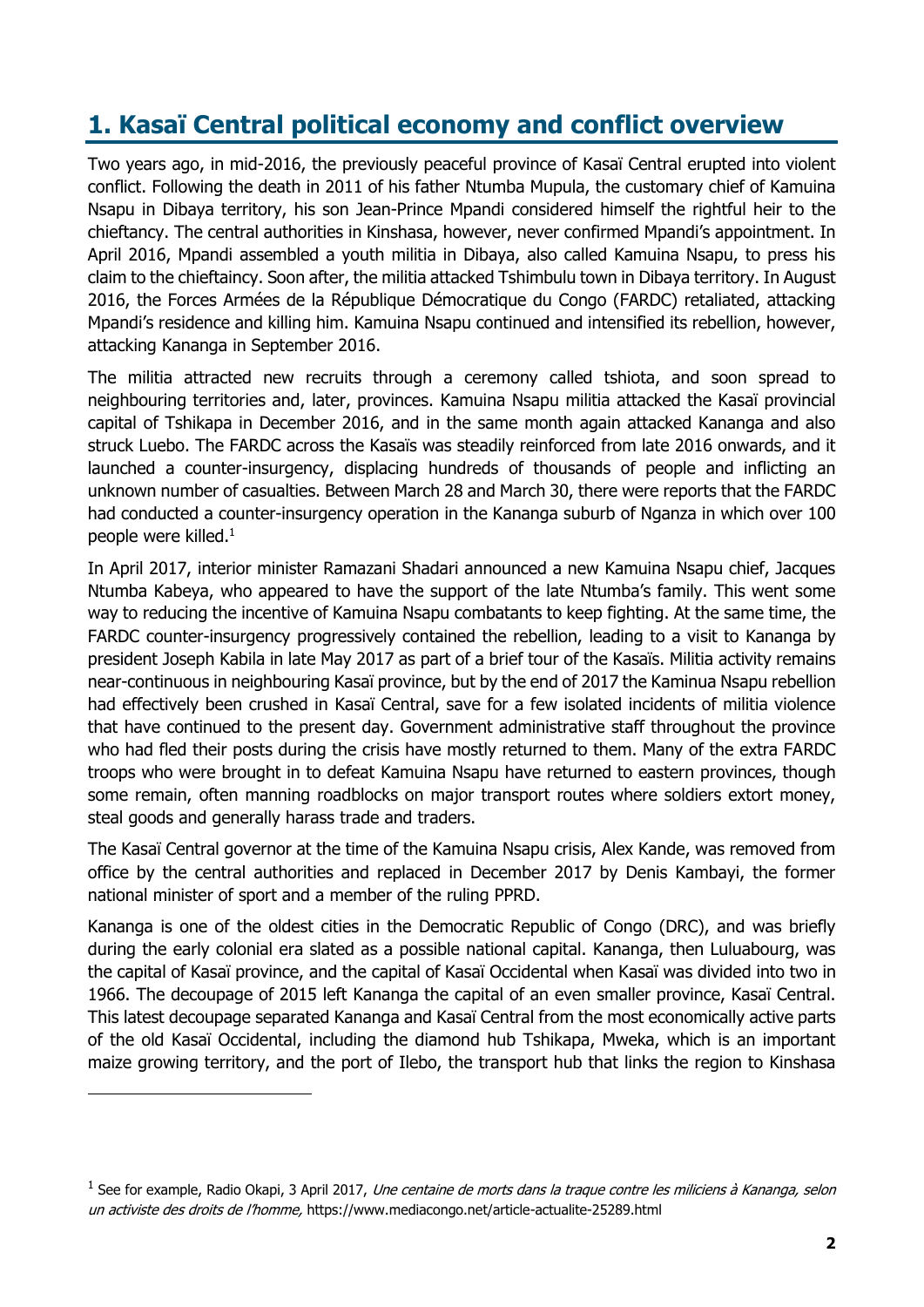## <span id="page-4-0"></span>**1. Kasaï Central political economy and conflict overview**

Two years ago, in mid-2016, the previously peaceful province of Kasaï Central erupted into violent conflict. Following the death in 2011 of his father Ntumba Mupula, the customary chief of Kamuina Nsapu in Dibaya territory, his son Jean-Prince Mpandi considered himself the rightful heir to the chieftancy. The central authorities in Kinshasa, however, never confirmed Mpandi's appointment. In April 2016, Mpandi assembled a youth militia in Dibaya, also called Kamuina Nsapu, to press his claim to the chieftaincy. Soon after, the militia attacked Tshimbulu town in Dibaya territory. In August 2016, the Forces Armées de la République Démocratique du Congo (FARDC) retaliated, attacking Mpandi's residence and killing him. Kamuina Nsapu continued and intensified its rebellion, however, attacking Kananga in September 2016.

The militia attracted new recruits through a ceremony called tshiota, and soon spread to neighbouring territories and, later, provinces. Kamuina Nsapu militia attacked the Kasaï provincial capital of Tshikapa in December 2016, and in the same month again attacked Kananga and also struck Luebo. The FARDC across the Kasaïs was steadily reinforced from late 2016 onwards, and it launched a counter-insurgency, displacing hundreds of thousands of people and inflicting an unknown number of casualties. Between March 28 and March 30, there were reports that the FARDC had conducted a counter-insurgency operation in the Kananga suburb of Nganza in which over 100 people were killed.<sup>1</sup>

In April 2017, interior minister Ramazani Shadari announced a new Kamuina Nsapu chief, Jacques Ntumba Kabeya, who appeared to have the support of the late Ntumba's family. This went some way to reducing the incentive of Kamuina Nsapu combatants to keep fighting. At the same time, the FARDC counter-insurgency progressively contained the rebellion, leading to a visit to Kananga by president Joseph Kabila in late May 2017 as part of a brief tour of the Kasaïs. Militia activity remains near-continuous in neighbouring Kasaï province, but by the end of 2017 the Kaminua Nsapu rebellion had effectively been crushed in Kasaï Central, save for a few isolated incidents of militia violence that have continued to the present day. Government administrative staff throughout the province who had fled their posts during the crisis have mostly returned to them. Many of the extra FARDC troops who were brought in to defeat Kamuina Nsapu have returned to eastern provinces, though some remain, often manning roadblocks on major transport routes where soldiers extort money, steal goods and generally harass trade and traders.

The Kasaï Central governor at the time of the Kamuina Nsapu crisis, Alex Kande, was removed from office by the central authorities and replaced in December 2017 by Denis Kambayi, the former national minister of sport and a member of the ruling PPRD.

Kananga is one of the oldest cities in the Democratic Republic of Congo (DRC), and was briefly during the early colonial era slated as a possible national capital. Kananga, then Luluabourg, was the capital of Kasaï province, and the capital of Kasaï Occidental when Kasaï was divided into two in 1966. The decoupage of 2015 left Kananga the capital of an even smaller province, Kasaï Central. This latest decoupage separated Kananga and Kasaï Central from the most economically active parts of the old Kasaï Occidental, including the diamond hub Tshikapa, Mweka, which is an important maize growing territory, and the port of Ilebo, the transport hub that links the region to Kinshasa

<sup>&</sup>lt;sup>1</sup> See for example, Radio Okapi, 3 April 2017, *Une centaine de morts dans la traque contre les miliciens à Kananga, selon* un activiste des droits de l'homme, https://www.mediacongo.net/article-actualite-25289.html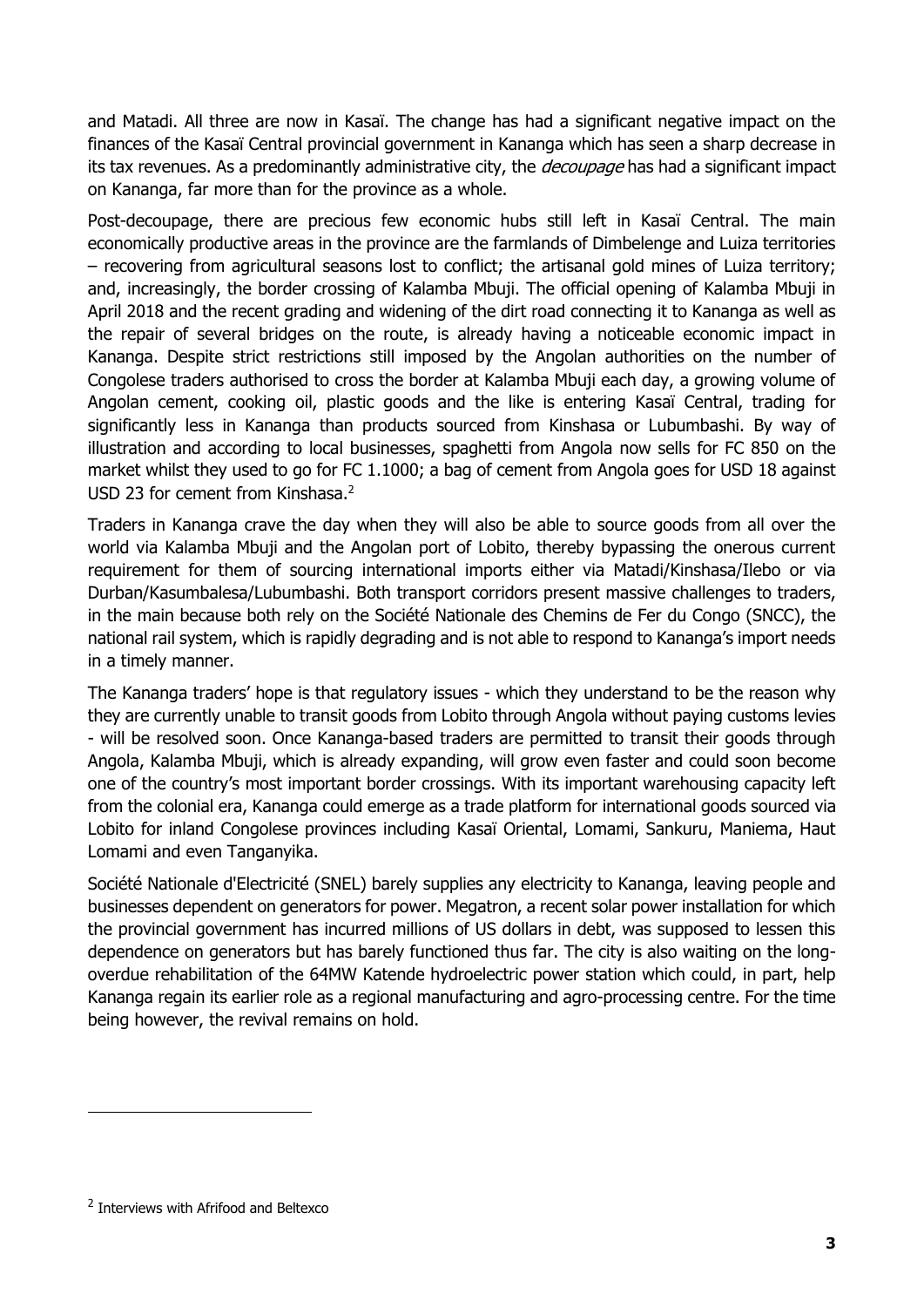and Matadi. All three are now in Kasaï. The change has had a significant negative impact on the finances of the Kasaï Central provincial government in Kananga which has seen a sharp decrease in its tax revenues. As a predominantly administrative city, the *decoupage* has had a significant impact on Kananga, far more than for the province as a whole.

Post-decoupage, there are precious few economic hubs still left in Kasaï Central. The main economically productive areas in the province are the farmlands of Dimbelenge and Luiza territories – recovering from agricultural seasons lost to conflict; the artisanal gold mines of Luiza territory; and, increasingly, the border crossing of Kalamba Mbuji. The official opening of Kalamba Mbuji in April 2018 and the recent grading and widening of the dirt road connecting it to Kananga as well as the repair of several bridges on the route, is already having a noticeable economic impact in Kananga. Despite strict restrictions still imposed by the Angolan authorities on the number of Congolese traders authorised to cross the border at Kalamba Mbuji each day, a growing volume of Angolan cement, cooking oil, plastic goods and the like is entering Kasaï Central, trading for significantly less in Kananga than products sourced from Kinshasa or Lubumbashi. By way of illustration and according to local businesses, spaghetti from Angola now sells for FC 850 on the market whilst they used to go for FC 1.1000; a bag of cement from Angola goes for USD 18 against USD 23 for cement from Kinshasa.<sup>2</sup>

Traders in Kananga crave the day when they will also be able to source goods from all over the world via Kalamba Mbuji and the Angolan port of Lobito, thereby bypassing the onerous current requirement for them of sourcing international imports either via Matadi/Kinshasa/Ilebo or via Durban/Kasumbalesa/Lubumbashi. Both transport corridors present massive challenges to traders, in the main because both rely on the Société Nationale des Chemins de Fer du Congo (SNCC), the national rail system, which is rapidly degrading and is not able to respond to Kananga's import needs in a timely manner.

The Kananga traders' hope is that regulatory issues - which they understand to be the reason why they are currently unable to transit goods from Lobito through Angola without paying customs levies - will be resolved soon. Once Kananga-based traders are permitted to transit their goods through Angola, Kalamba Mbuji, which is already expanding, will grow even faster and could soon become one of the country's most important border crossings. With its important warehousing capacity left from the colonial era, Kananga could emerge as a trade platform for international goods sourced via Lobito for inland Congolese provinces including Kasaï Oriental, Lomami, Sankuru, Maniema, Haut Lomami and even Tanganyika.

Société Nationale d'Electricité (SNEL) barely supplies any electricity to Kananga, leaving people and businesses dependent on generators for power. Megatron, a recent solar power installation for which the provincial government has incurred millions of US dollars in debt, was supposed to lessen this dependence on generators but has barely functioned thus far. The city is also waiting on the longoverdue rehabilitation of the 64MW Katende hydroelectric power station which could, in part, help Kananga regain its earlier role as a regional manufacturing and agro-processing centre. For the time being however, the revival remains on hold.

<sup>&</sup>lt;sup>2</sup> Interviews with Afrifood and Beltexco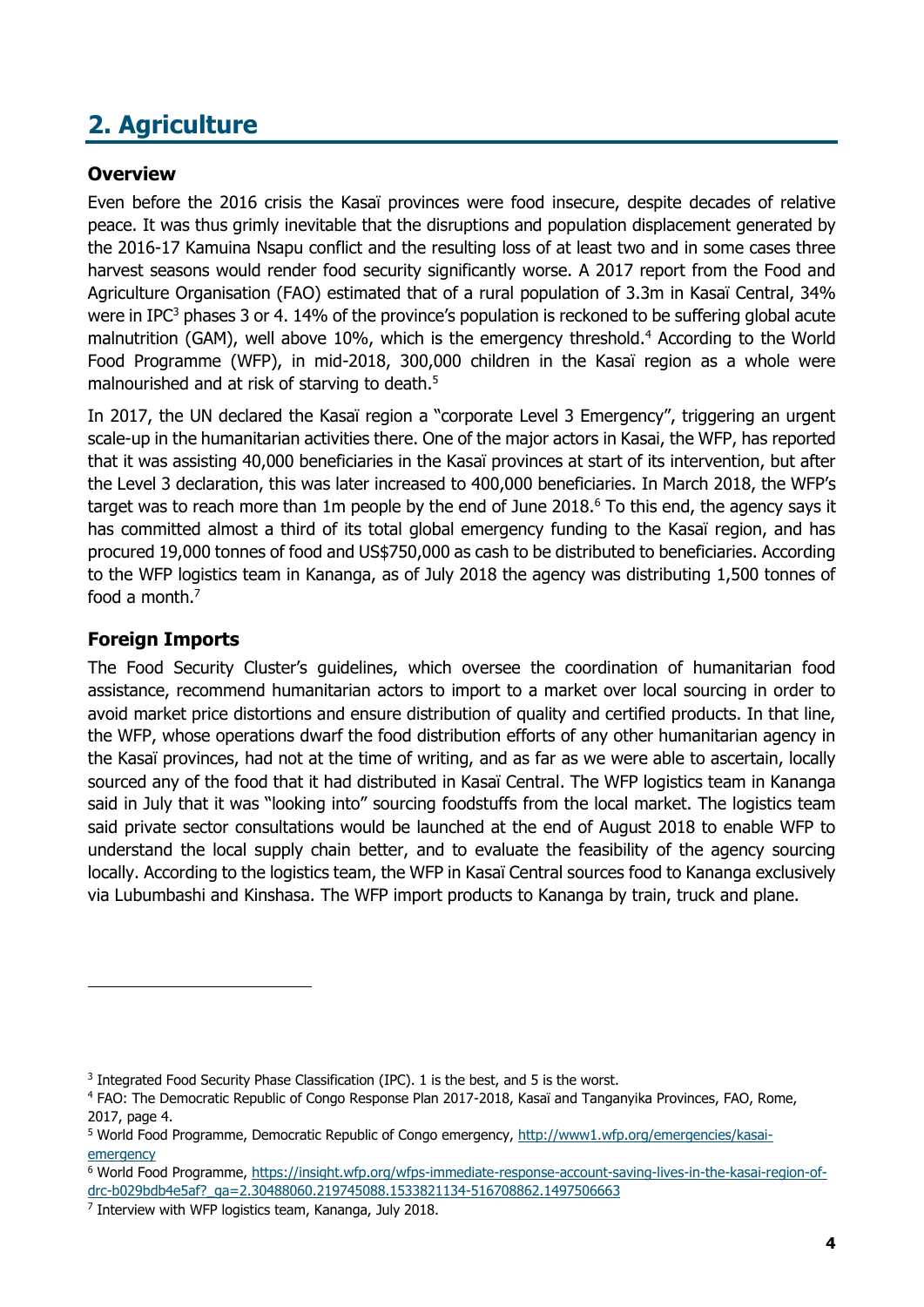# <span id="page-6-0"></span>**2. Agriculture**

#### **Overview**

Even before the 2016 crisis the Kasaï provinces were food insecure, despite decades of relative peace. It was thus grimly inevitable that the disruptions and population displacement generated by the 2016-17 Kamuina Nsapu conflict and the resulting loss of at least two and in some cases three harvest seasons would render food security significantly worse. A 2017 report from the Food and Agriculture Organisation (FAO) estimated that of a rural population of 3.3m in Kasaï Central, 34% were in IPC<sup>3</sup> phases 3 or 4. 14% of the province's population is reckoned to be suffering global acute malnutrition (GAM), well above 10%, which is the emergency threshold.<sup>4</sup> According to the World Food Programme (WFP), in mid-2018, 300,000 children in the Kasaï region as a whole were malnourished and at risk of starving to death.<sup>5</sup>

In 2017, the UN declared the Kasaï region a "corporate Level 3 Emergency", triggering an urgent scale-up in the humanitarian activities there. One of the major actors in Kasai, the WFP, has reported that it was assisting 40,000 beneficiaries in the Kasaï provinces at start of its intervention, but after the Level 3 declaration, this was later increased to 400,000 beneficiaries. In March 2018, the WFP's target was to reach more than 1m people by the end of June 2018.<sup>6</sup> To this end, the agency says it has committed almost a third of its total global emergency funding to the Kasaï region, and has procured 19,000 tonnes of food and US\$750,000 as cash to be distributed to beneficiaries. According to the WFP logistics team in Kananga, as of July 2018 the agency was distributing 1,500 tonnes of food a month.<sup>7</sup>

### **Foreign Imports**

The Food Security Cluster's guidelines, which oversee the coordination of humanitarian food assistance, recommend humanitarian actors to import to a market over local sourcing in order to avoid market price distortions and ensure distribution of quality and certified products. In that line, the WFP, whose operations dwarf the food distribution efforts of any other humanitarian agency in the Kasaï provinces, had not at the time of writing, and as far as we were able to ascertain, locally sourced any of the food that it had distributed in Kasaï Central. The WFP logistics team in Kananga said in July that it was "looking into" sourcing foodstuffs from the local market. The logistics team said private sector consultations would be launched at the end of August 2018 to enable WFP to understand the local supply chain better, and to evaluate the feasibility of the agency sourcing locally. According to the logistics team, the WFP in Kasaï Central sources food to Kananga exclusively via Lubumbashi and Kinshasa. The WFP import products to Kananga by train, truck and plane.

<sup>&</sup>lt;sup>3</sup> Integrated Food Security Phase Classification (IPC). 1 is the best, and 5 is the worst.

<sup>4</sup> FAO: The Democratic Republic of Congo Response Plan 2017-2018, Kasaï and Tanganyika Provinces, FAO, Rome, 2017, page 4.

<sup>5</sup> World Food Programme, Democratic Republic of Congo emergency, [http://www1.wfp.org/emergencies/kasai](http://www1.wfp.org/emergencies/kasai-emergency)[emergency](http://www1.wfp.org/emergencies/kasai-emergency)

<sup>6</sup> World Food Programme, [https://insight.wfp.org/wfps-immediate-response-account-saving-lives-in-the-kasai-region-of](https://insight.wfp.org/wfps-immediate-response-account-saving-lives-in-the-kasai-region-of-drc-b029bdb4e5af?_ga=2.30488060.219745088.1533821134-516708862.1497506663)[drc-b029bdb4e5af?\\_ga=2.30488060.219745088.1533821134-516708862.1497506663](https://insight.wfp.org/wfps-immediate-response-account-saving-lives-in-the-kasai-region-of-drc-b029bdb4e5af?_ga=2.30488060.219745088.1533821134-516708862.1497506663)

<sup>7</sup> Interview with WFP logistics team, Kananga, July 2018.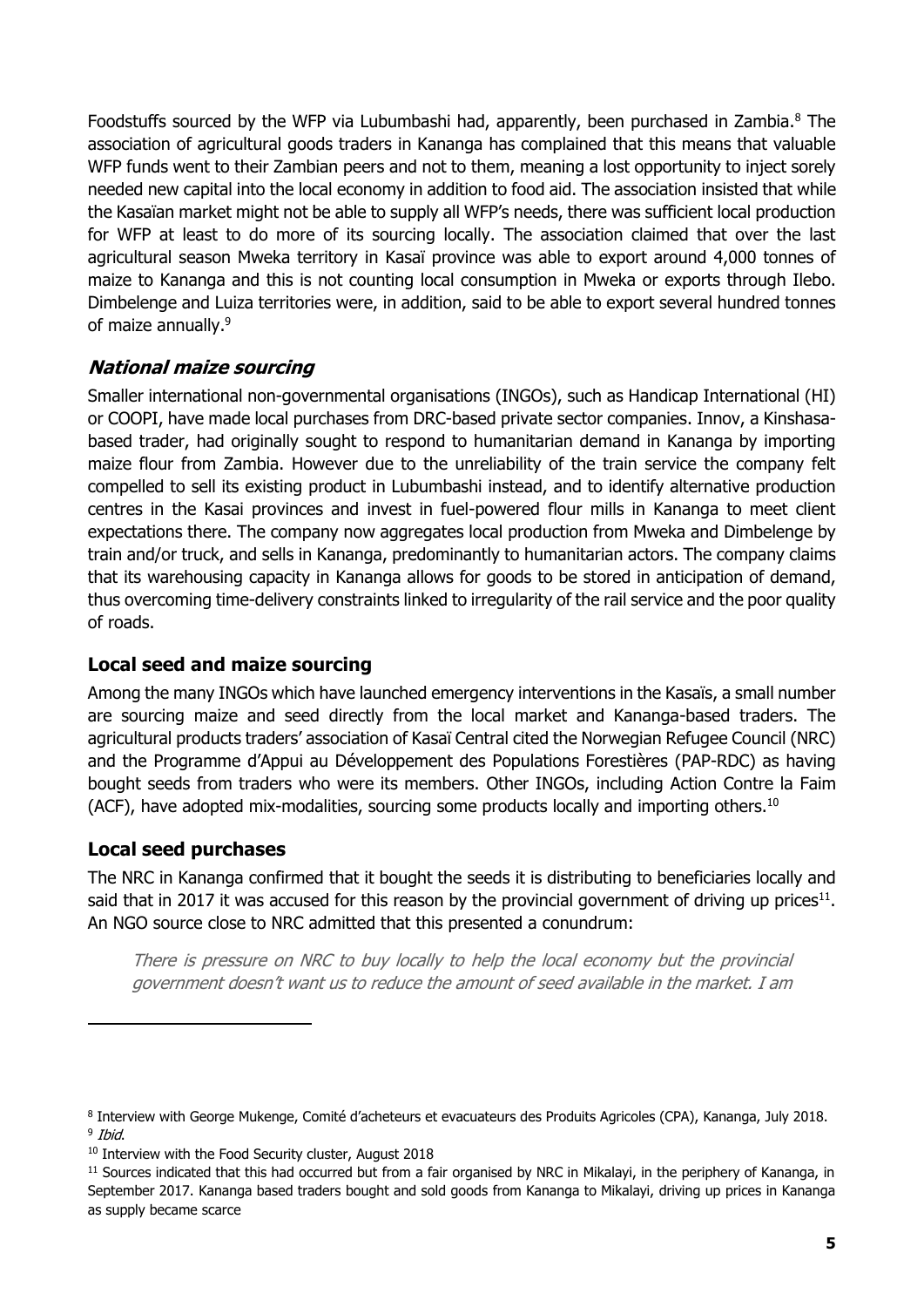Foodstuffs sourced by the WFP via Lubumbashi had, apparently, been purchased in Zambia.<sup>8</sup> The association of agricultural goods traders in Kananga has complained that this means that valuable WFP funds went to their Zambian peers and not to them, meaning a lost opportunity to inject sorely needed new capital into the local economy in addition to food aid. The association insisted that while the Kasaïan market might not be able to supply all WFP's needs, there was sufficient local production for WFP at least to do more of its sourcing locally. The association claimed that over the last agricultural season Mweka territory in Kasaï province was able to export around 4,000 tonnes of maize to Kananga and this is not counting local consumption in Mweka or exports through Ilebo. Dimbelenge and Luiza territories were, in addition, said to be able to export several hundred tonnes of maize annually.<sup>9</sup>

#### **National maize sourcing**

Smaller international non-governmental organisations (INGOs), such as Handicap International (HI) or COOPI, have made local purchases from DRC-based private sector companies. Innov, a Kinshasabased trader, had originally sought to respond to humanitarian demand in Kananga by importing maize flour from Zambia. However due to the unreliability of the train service the company felt compelled to sell its existing product in Lubumbashi instead, and to identify alternative production centres in the Kasai provinces and invest in fuel-powered flour mills in Kananga to meet client expectations there. The company now aggregates local production from Mweka and Dimbelenge by train and/or truck, and sells in Kananga, predominantly to humanitarian actors. The company claims that its warehousing capacity in Kananga allows for goods to be stored in anticipation of demand, thus overcoming time-delivery constraints linked to irregularity of the rail service and the poor quality of roads.

#### **Local seed and maize sourcing**

Among the many INGOs which have launched emergency interventions in the Kasaïs, a small number are sourcing maize and seed directly from the local market and Kananga-based traders. The agricultural products traders' association of Kasaï Central cited the Norwegian Refugee Council (NRC) and the Programme d'Appui au Développement des Populations Forestières (PAP-RDC) as having bought seeds from traders who were its members. Other INGOs, including Action Contre la Faim (ACF), have adopted mix-modalities, sourcing some products locally and importing others.<sup>10</sup>

#### **Local seed purchases**

The NRC in Kananga confirmed that it bought the seeds it is distributing to beneficiaries locally and said that in 2017 it was accused for this reason by the provincial government of driving up prices<sup>11</sup>. An NGO source close to NRC admitted that this presented a conundrum:

There is pressure on NRC to buy locally to help the local economy but the provincial government doesn't want us to reduce the amount of seed available in the market. I am

<sup>8</sup> Interview with George Mukenge, Comité d'acheteurs et evacuateurs des Produits Agricoles (CPA), Kananga, July 2018. <sup>9</sup> Ibid.

<sup>&</sup>lt;sup>10</sup> Interview with the Food Security cluster, August 2018

 $11$  Sources indicated that this had occurred but from a fair organised by NRC in Mikalayi, in the periphery of Kananga, in September 2017. Kananga based traders bought and sold goods from Kananga to Mikalayi, driving up prices in Kananga as supply became scarce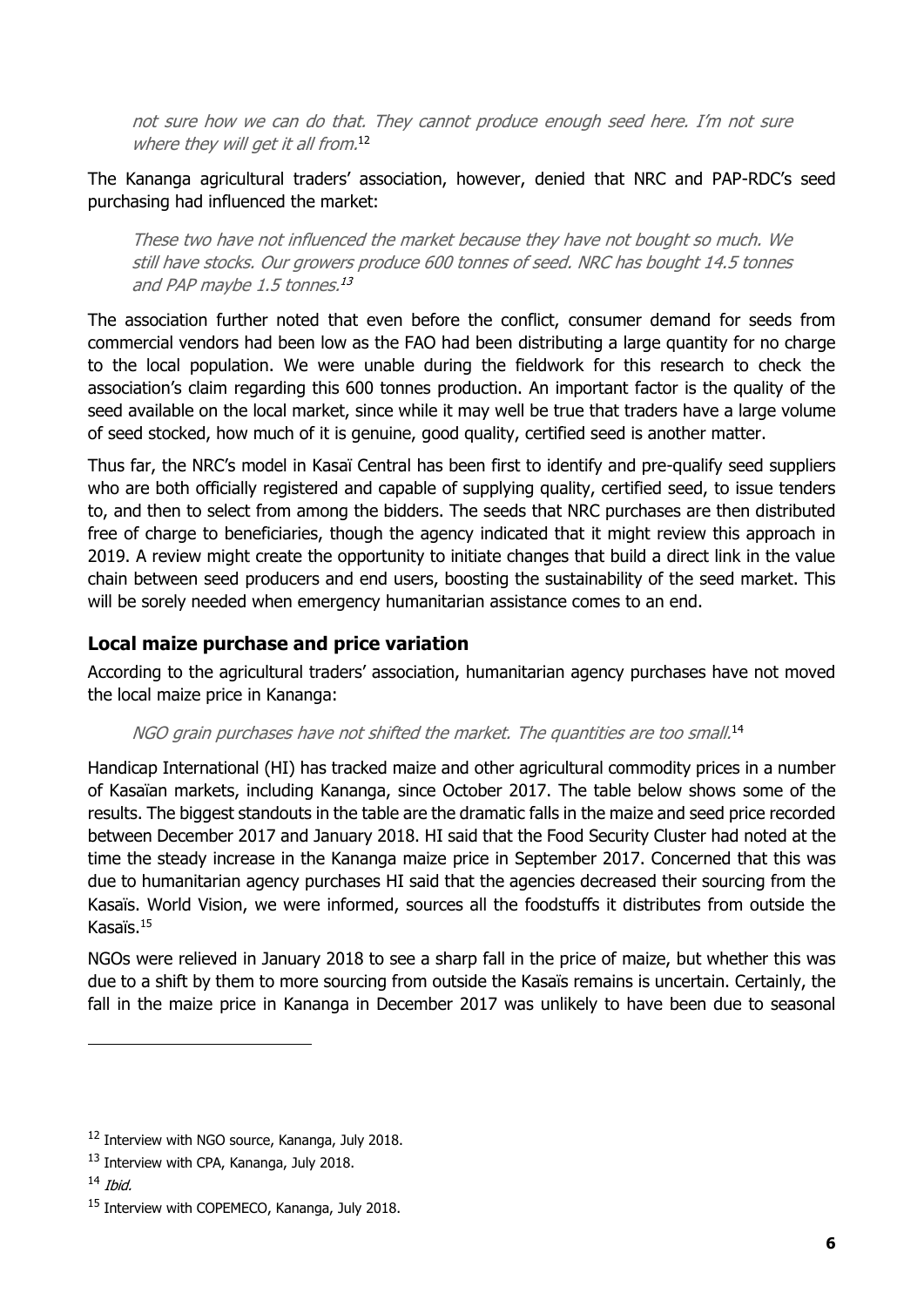not sure how we can do that. They cannot produce enough seed here. I'm not sure where they will get it all from.<sup>12</sup>

#### The Kananga agricultural traders' association, however, denied that NRC and PAP-RDC's seed purchasing had influenced the market:

These two have not influenced the market because they have not bought so much. We still have stocks. Our growers produce 600 tonnes of seed. NRC has bought 14.5 tonnes and PAP maybe 1.5 tonnes. 13

The association further noted that even before the conflict, consumer demand for seeds from commercial vendors had been low as the FAO had been distributing a large quantity for no charge to the local population. We were unable during the fieldwork for this research to check the association's claim regarding this 600 tonnes production. An important factor is the quality of the seed available on the local market, since while it may well be true that traders have a large volume of seed stocked, how much of it is genuine, good quality, certified seed is another matter.

Thus far, the NRC's model in Kasaï Central has been first to identify and pre-qualify seed suppliers who are both officially registered and capable of supplying quality, certified seed, to issue tenders to, and then to select from among the bidders. The seeds that NRC purchases are then distributed free of charge to beneficiaries, though the agency indicated that it might review this approach in 2019. A review might create the opportunity to initiate changes that build a direct link in the value chain between seed producers and end users, boosting the sustainability of the seed market. This will be sorely needed when emergency humanitarian assistance comes to an end.

#### **Local maize purchase and price variation**

According to the agricultural traders' association, humanitarian agency purchases have not moved the local maize price in Kananga:

#### NGO grain purchases have not shifted the market. The quantities are too small.<sup>14</sup>

Handicap International (HI) has tracked maize and other agricultural commodity prices in a number of Kasaïan markets, including Kananga, since October 2017. The table below shows some of the results. The biggest standouts in the table are the dramatic falls in the maize and seed price recorded between December 2017 and January 2018. HI said that the Food Security Cluster had noted at the time the steady increase in the Kananga maize price in September 2017. Concerned that this was due to humanitarian agency purchases HI said that the agencies decreased their sourcing from the Kasaïs. World Vision, we were informed, sources all the foodstuffs it distributes from outside the Kasaïs.<sup>15</sup>

NGOs were relieved in January 2018 to see a sharp fall in the price of maize, but whether this was due to a shift by them to more sourcing from outside the Kasaïs remains is uncertain. Certainly, the fall in the maize price in Kananga in December 2017 was unlikely to have been due to seasonal

<sup>&</sup>lt;sup>12</sup> Interview with NGO source, Kananga, July 2018.

<sup>&</sup>lt;sup>13</sup> Interview with CPA, Kananga, July 2018.

 $14$  *Ihid.* 

<sup>&</sup>lt;sup>15</sup> Interview with COPEMECO, Kananga, July 2018.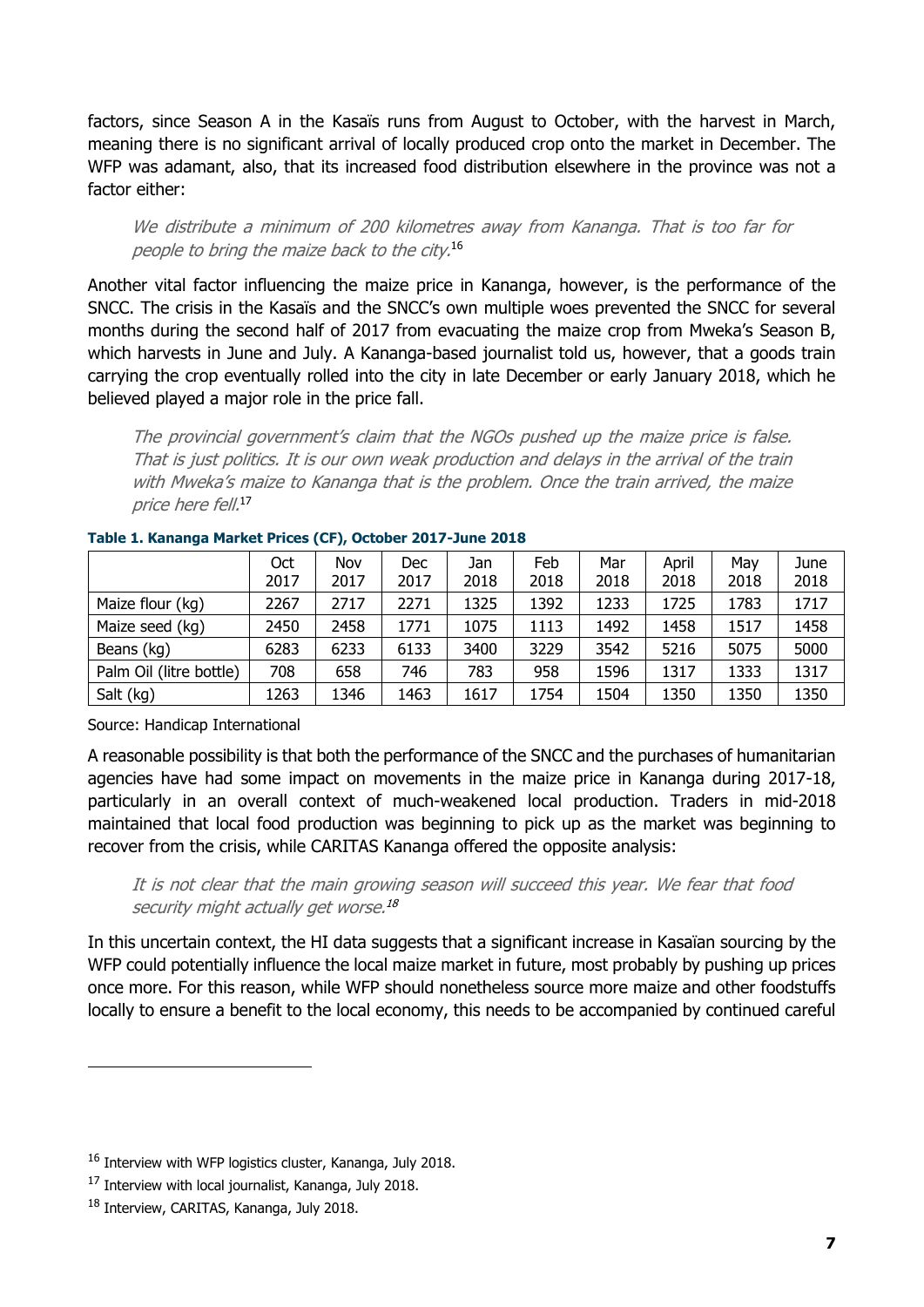factors, since Season A in the Kasaïs runs from August to October, with the harvest in March, meaning there is no significant arrival of locally produced crop onto the market in December. The WFP was adamant, also, that its increased food distribution elsewhere in the province was not a factor either:

We distribute a minimum of 200 kilometres away from Kananga. That is too far for people to bring the maize back to the city. 16

Another vital factor influencing the maize price in Kananga, however, is the performance of the SNCC. The crisis in the Kasaïs and the SNCC's own multiple woes prevented the SNCC for several months during the second half of 2017 from evacuating the maize crop from Mweka's Season B, which harvests in June and July. A Kananga-based journalist told us, however, that a goods train carrying the crop eventually rolled into the city in late December or early January 2018, which he believed played a major role in the price fall.

The provincial government's claim that the NGOs pushed up the maize price is false. That is just politics. It is our own weak production and delays in the arrival of the train with Mweka's maize to Kananga that is the problem. Once the train arrived, the maize price here fell. 17

|                         | Oct<br>2017 | Nov<br>2017 | Dec<br>2017 | Jan<br>2018 | Feb<br>2018 | Mar<br>2018 | April<br>2018 | May<br>2018 | June<br>2018 |
|-------------------------|-------------|-------------|-------------|-------------|-------------|-------------|---------------|-------------|--------------|
| Maize flour (kg)        | 2267        | 2717        | 2271        | 1325        | 1392        | 1233        | 1725          | 1783        | 1717         |
| Maize seed (kg)         | 2450        | 2458        | 1771        | 1075        | 1113        | 1492        | 1458          | 1517        | 1458         |
| Beans (kg)              | 6283        | 6233        | 6133        | 3400        | 3229        | 3542        | 5216          | 5075        | 5000         |
| Palm Oil (litre bottle) | 708         | 658         | 746         | 783         | 958         | 1596        | 1317          | 1333        | 1317         |
| Salt (kg)               | 1263        | 1346        | 1463        | 1617        | 1754        | 1504        | 1350          | 1350        | 1350         |

#### <span id="page-9-0"></span>**Table 1. Kananga Market Prices (CF), October 2017-June 2018**

Source: Handicap International

A reasonable possibility is that both the performance of the SNCC and the purchases of humanitarian agencies have had some impact on movements in the maize price in Kananga during 2017-18, particularly in an overall context of much-weakened local production. Traders in mid-2018 maintained that local food production was beginning to pick up as the market was beginning to recover from the crisis, while CARITAS Kananga offered the opposite analysis:

It is not clear that the main growing season will succeed this year. We fear that food security might actually get worse. 18

In this uncertain context, the HI data suggests that a significant increase in Kasaïan sourcing by the WFP could potentially influence the local maize market in future, most probably by pushing up prices once more. For this reason, while WFP should nonetheless source more maize and other foodstuffs locally to ensure a benefit to the local economy, this needs to be accompanied by continued careful

<sup>&</sup>lt;sup>16</sup> Interview with WFP logistics cluster, Kananga, July 2018.

<sup>&</sup>lt;sup>17</sup> Interview with local journalist, Kananga, July 2018.

<sup>&</sup>lt;sup>18</sup> Interview, CARITAS, Kananga, July 2018.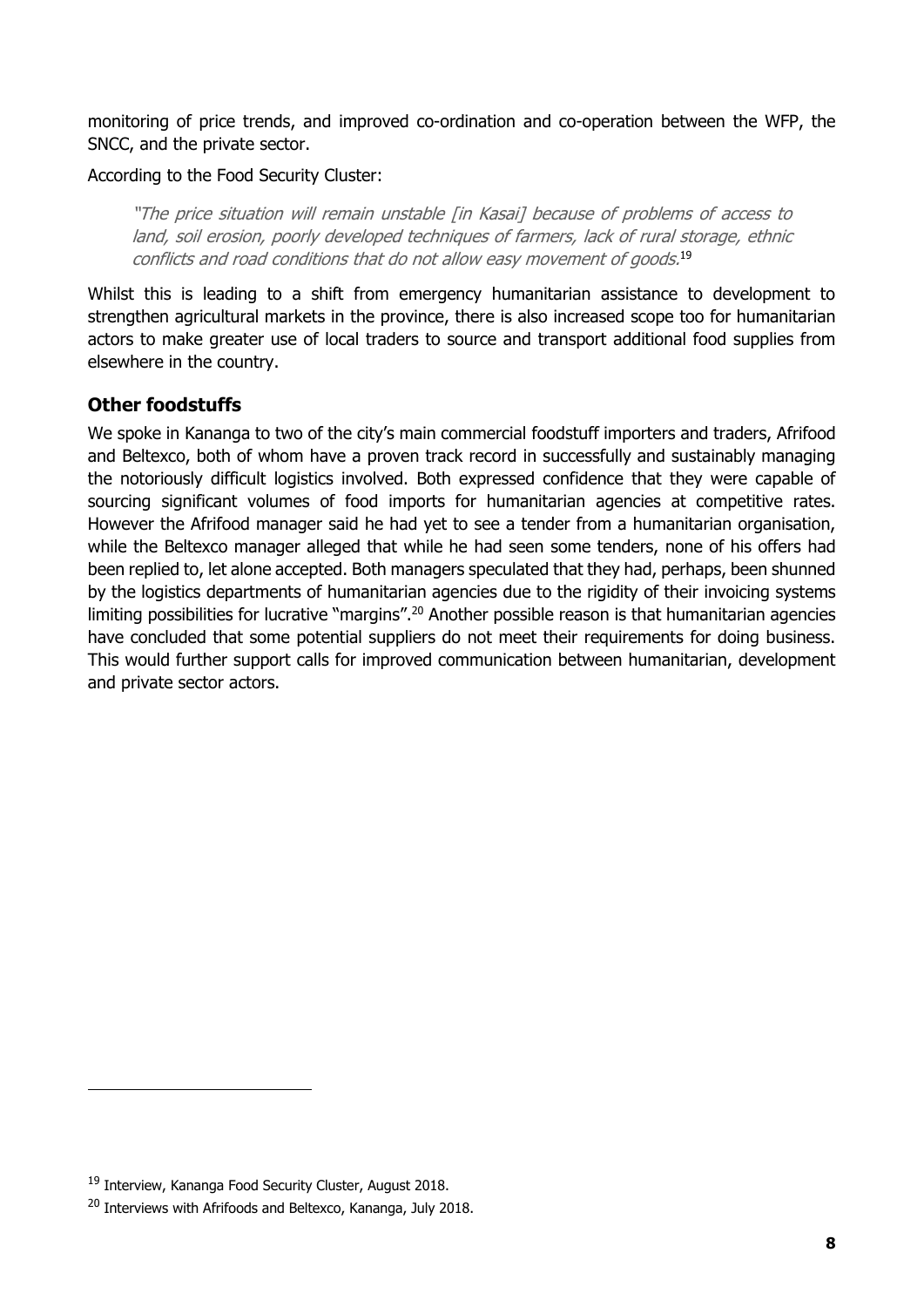monitoring of price trends, and improved co-ordination and co-operation between the WFP, the SNCC, and the private sector.

According to the Food Security Cluster:

"The price situation will remain unstable [in Kasai] because of problems of access to land, soil erosion, poorly developed techniques of farmers, lack of rural storage, ethnic conflicts and road conditions that do not allow easy movement of goods. 19

Whilst this is leading to a shift from emergency humanitarian assistance to development to strengthen agricultural markets in the province, there is also increased scope too for humanitarian actors to make greater use of local traders to source and transport additional food supplies from elsewhere in the country.

#### **Other foodstuffs**

We spoke in Kananga to two of the city's main commercial foodstuff importers and traders, Afrifood and Beltexco, both of whom have a proven track record in successfully and sustainably managing the notoriously difficult logistics involved. Both expressed confidence that they were capable of sourcing significant volumes of food imports for humanitarian agencies at competitive rates. However the Afrifood manager said he had yet to see a tender from a humanitarian organisation, while the Beltexco manager alleged that while he had seen some tenders, none of his offers had been replied to, let alone accepted. Both managers speculated that they had, perhaps, been shunned by the logistics departments of humanitarian agencies due to the rigidity of their invoicing systems limiting possibilities for lucrative "margins".<sup>20</sup> Another possible reason is that humanitarian agencies have concluded that some potential suppliers do not meet their requirements for doing business. This would further support calls for improved communication between humanitarian, development and private sector actors.

<sup>19</sup> Interview, Kananga Food Security Cluster, August 2018.

<sup>&</sup>lt;sup>20</sup> Interviews with Afrifoods and Beltexco, Kananga, July 2018.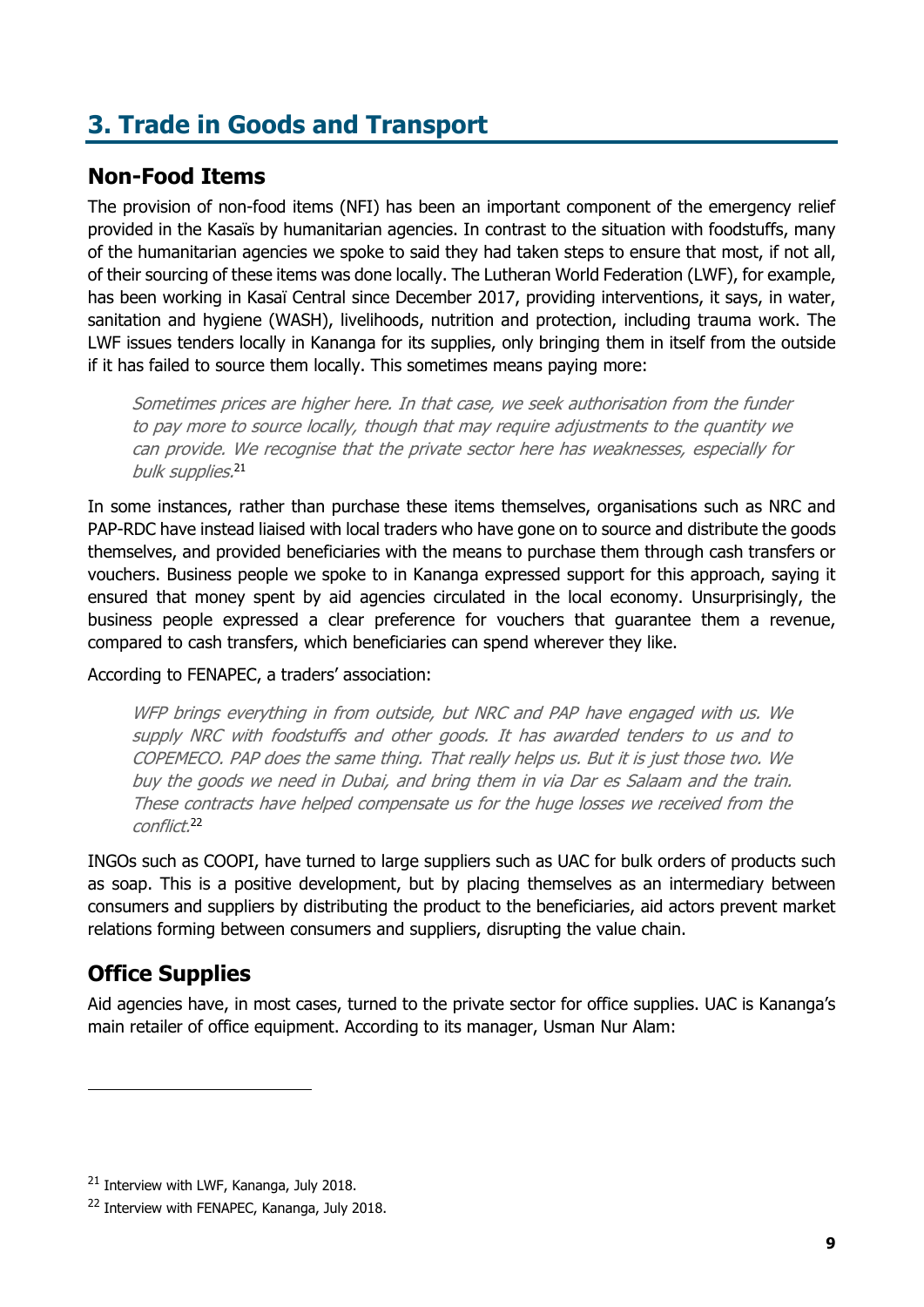# <span id="page-11-0"></span>**3. Trade in Goods and Transport**

### <span id="page-11-1"></span>**Non-Food Items**

The provision of non-food items (NFI) has been an important component of the emergency relief provided in the Kasaïs by humanitarian agencies. In contrast to the situation with foodstuffs, many of the humanitarian agencies we spoke to said they had taken steps to ensure that most, if not all, of their sourcing of these items was done locally. The Lutheran World Federation (LWF), for example, has been working in Kasaï Central since December 2017, providing interventions, it says, in water, sanitation and hygiene (WASH), livelihoods, nutrition and protection, including trauma work. The LWF issues tenders locally in Kananga for its supplies, only bringing them in itself from the outside if it has failed to source them locally. This sometimes means paying more:

Sometimes prices are higher here. In that case, we seek authorisation from the funder to pay more to source locally, though that may require adjustments to the quantity we can provide. We recognise that the private sector here has weaknesses, especially for bulk supplies. 21

In some instances, rather than purchase these items themselves, organisations such as NRC and PAP-RDC have instead liaised with local traders who have gone on to source and distribute the goods themselves, and provided beneficiaries with the means to purchase them through cash transfers or vouchers. Business people we spoke to in Kananga expressed support for this approach, saying it ensured that money spent by aid agencies circulated in the local economy. Unsurprisingly, the business people expressed a clear preference for vouchers that guarantee them a revenue, compared to cash transfers, which beneficiaries can spend wherever they like.

According to FENAPEC, a traders' association:

WFP brings everything in from outside, but NRC and PAP have engaged with us. We supply NRC with foodstuffs and other goods. It has awarded tenders to us and to COPEMECO. PAP does the same thing. That really helps us. But it is just those two. We buy the goods we need in Dubai, and bring them in via Dar es Salaam and the train. These contracts have helped compensate us for the huge losses we received from the conflict. 22

INGOs such as COOPI, have turned to large suppliers such as UAC for bulk orders of products such as soap. This is a positive development, but by placing themselves as an intermediary between consumers and suppliers by distributing the product to the beneficiaries, aid actors prevent market relations forming between consumers and suppliers, disrupting the value chain.

### <span id="page-11-2"></span>**Office Supplies**

Aid agencies have, in most cases, turned to the private sector for office supplies. UAC is Kananga's main retailer of office equipment. According to its manager, Usman Nur Alam:

<sup>&</sup>lt;sup>21</sup> Interview with LWF, Kananga, July 2018.

<sup>&</sup>lt;sup>22</sup> Interview with FENAPEC, Kananga, July 2018.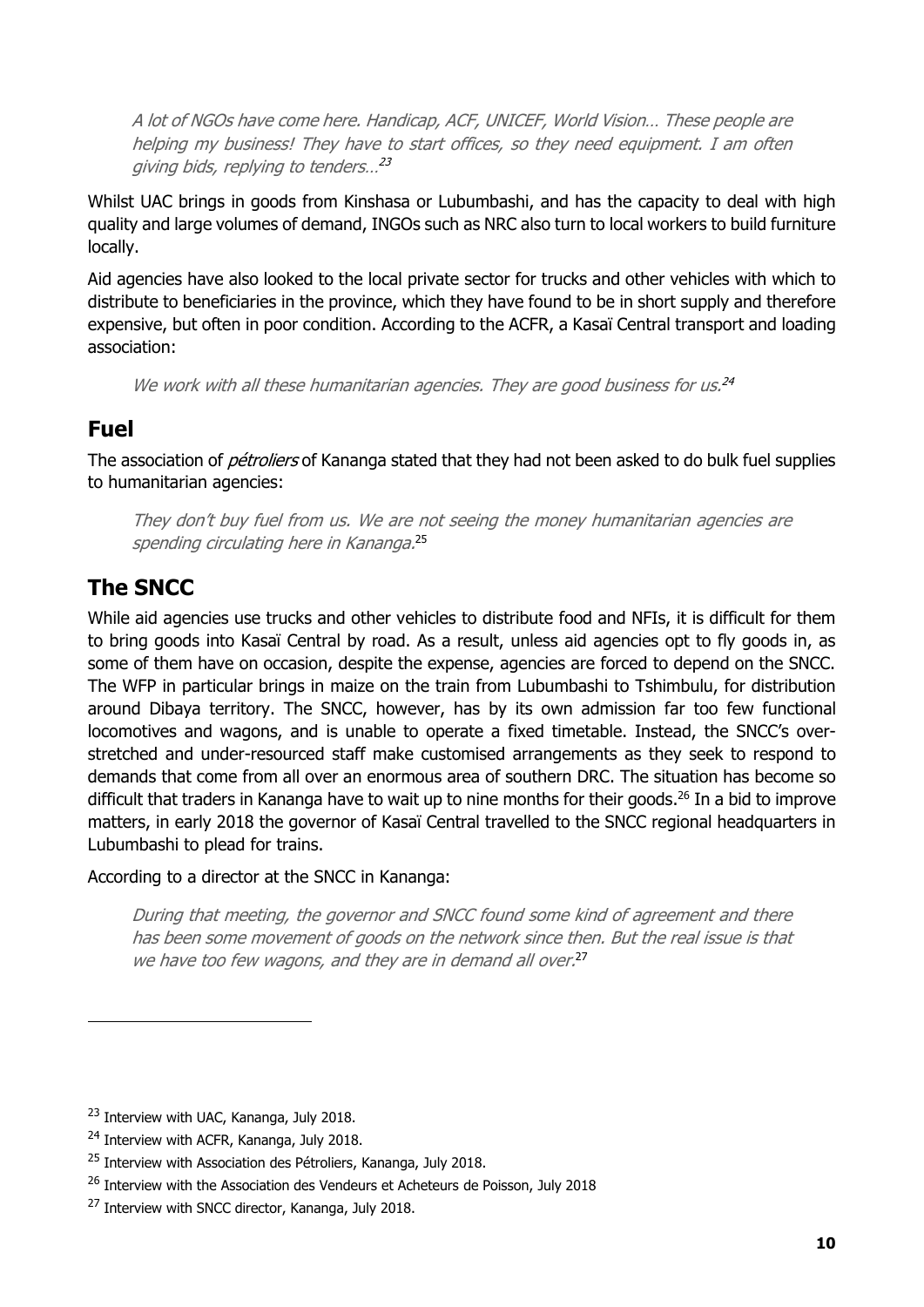A lot of NGOs have come here. Handicap, ACF, UNICEF, World Vision… These people are helping my business! They have to start offices, so they need equipment. I am often giving bids, replying to tenders…<sup>23</sup>

Whilst UAC brings in goods from Kinshasa or Lubumbashi, and has the capacity to deal with high quality and large volumes of demand, INGOs such as NRC also turn to local workers to build furniture locally.

Aid agencies have also looked to the local private sector for trucks and other vehicles with which to distribute to beneficiaries in the province, which they have found to be in short supply and therefore expensive, but often in poor condition. According to the ACFR, a Kasaï Central transport and loading association:

We work with all these humanitarian agencies. They are good business for us.<sup>24</sup>

### <span id="page-12-0"></span>**Fuel**

The association of *pétroliers* of Kananga stated that they had not been asked to do bulk fuel supplies to humanitarian agencies:

They don't buy fuel from us. We are not seeing the money humanitarian agencies are spending circulating here in Kananga.<sup>25</sup>

### <span id="page-12-1"></span>**The SNCC**

While aid agencies use trucks and other vehicles to distribute food and NFIs, it is difficult for them to bring goods into Kasaï Central by road. As a result, unless aid agencies opt to fly goods in, as some of them have on occasion, despite the expense, agencies are forced to depend on the SNCC. The WFP in particular brings in maize on the train from Lubumbashi to Tshimbulu, for distribution around Dibaya territory. The SNCC, however, has by its own admission far too few functional locomotives and wagons, and is unable to operate a fixed timetable. Instead, the SNCC's overstretched and under-resourced staff make customised arrangements as they seek to respond to demands that come from all over an enormous area of southern DRC. The situation has become so difficult that traders in Kananga have to wait up to nine months for their goods.<sup>26</sup> In a bid to improve matters, in early 2018 the governor of Kasaï Central travelled to the SNCC regional headquarters in Lubumbashi to plead for trains.

According to a director at the SNCC in Kananga:

During that meeting, the governor and SNCC found some kind of agreement and there has been some movement of goods on the network since then. But the real issue is that we have too few wagons, and they are in demand all over.<sup>27</sup>

<sup>&</sup>lt;sup>23</sup> Interview with UAC, Kananga, July 2018.

<sup>&</sup>lt;sup>24</sup> Interview with ACFR, Kananga, July 2018.

<sup>&</sup>lt;sup>25</sup> Interview with Association des Pétroliers, Kananga, July 2018.

<sup>&</sup>lt;sup>26</sup> Interview with the Association des Vendeurs et Acheteurs de Poisson, July 2018

<sup>&</sup>lt;sup>27</sup> Interview with SNCC director, Kananga, July 2018.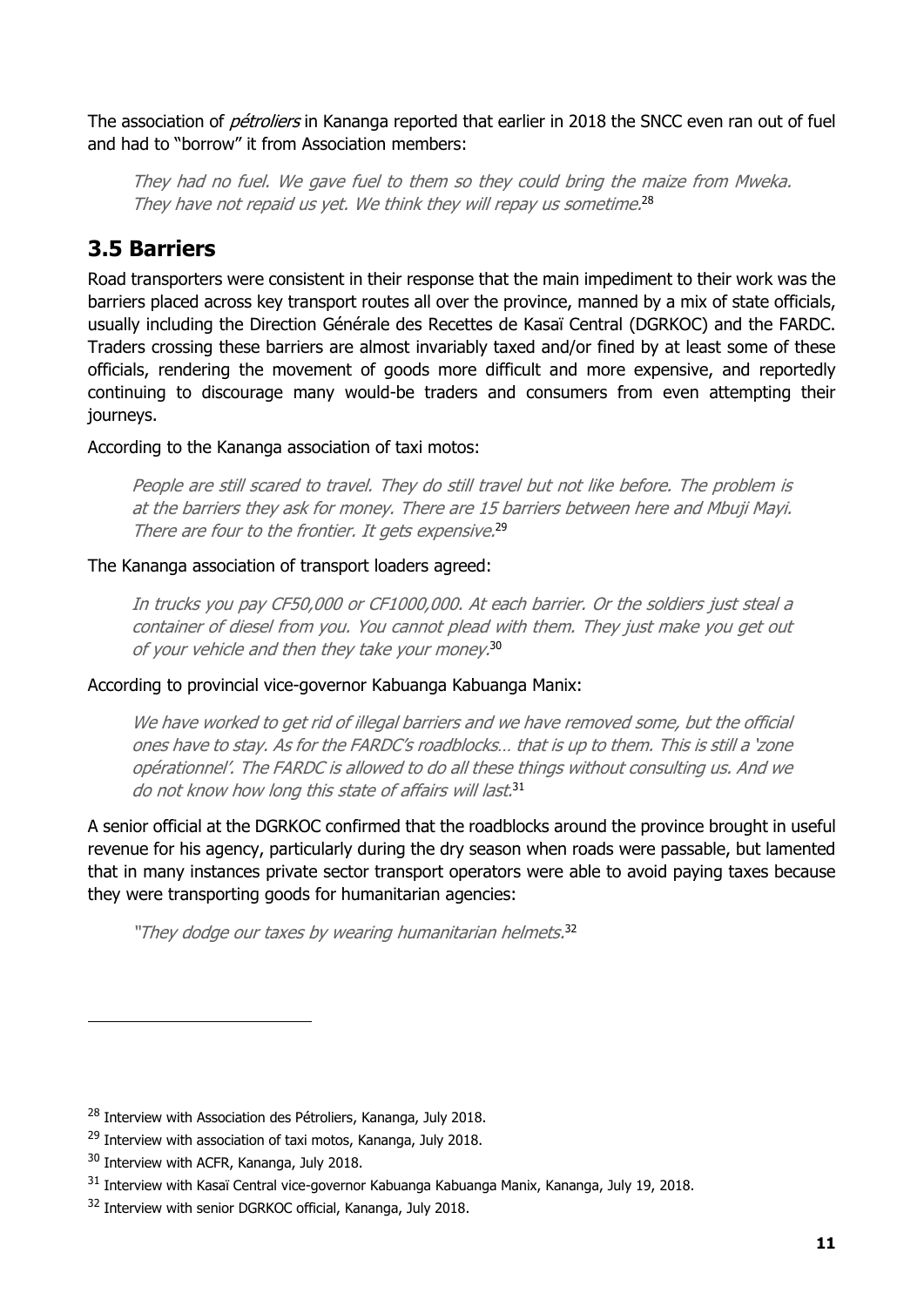The association of *pétroliers* in Kananga reported that earlier in 2018 the SNCC even ran out of fuel and had to "borrow" it from Association members:

They had no fuel. We gave fuel to them so they could bring the maize from Mweka. They have not repaid us yet. We think they will repay us sometime.<sup>28</sup>

### <span id="page-13-0"></span>**3.5 Barriers**

Road transporters were consistent in their response that the main impediment to their work was the barriers placed across key transport routes all over the province, manned by a mix of state officials, usually including the Direction Générale des Recettes de Kasaï Central (DGRKOC) and the FARDC. Traders crossing these barriers are almost invariably taxed and/or fined by at least some of these officials, rendering the movement of goods more difficult and more expensive, and reportedly continuing to discourage many would-be traders and consumers from even attempting their journeys.

According to the Kananga association of taxi motos:

People are still scared to travel. They do still travel but not like before. The problem is at the barriers they ask for money. There are 15 barriers between here and Mbuji Mayi. There are four to the frontier. It gets expensive.<sup>29</sup>

#### The Kananga association of transport loaders agreed:

In trucks you pay CF50,000 or CF1000,000. At each barrier. Or the soldiers just steal a container of diesel from you. You cannot plead with them. They just make you get out of your vehicle and then they take your money. 30

According to provincial vice-governor Kabuanga Kabuanga Manix:

We have worked to get rid of illegal barriers and we have removed some, but the official ones have to stay. As for the FARDC's roadblocks… that is up to them. This is still a 'zone opérationnel'. The FARDC is allowed to do all these things without consulting us. And we do not know how long this state of affairs will last.<sup>31</sup>

A senior official at the DGRKOC confirmed that the roadblocks around the province brought in useful revenue for his agency, particularly during the dry season when roads were passable, but lamented that in many instances private sector transport operators were able to avoid paying taxes because they were transporting goods for humanitarian agencies:

"They dodge our taxes by wearing humanitarian helmets.<sup>32</sup>

<sup>&</sup>lt;sup>28</sup> Interview with Association des Pétroliers, Kananga, July 2018.

<sup>&</sup>lt;sup>29</sup> Interview with association of taxi motos, Kananga, July 2018.

<sup>&</sup>lt;sup>30</sup> Interview with ACFR, Kananga, July 2018.

<sup>&</sup>lt;sup>31</sup> Interview with Kasaï Central vice-governor Kabuanga Kabuanga Manix, Kananga, July 19, 2018.

<sup>&</sup>lt;sup>32</sup> Interview with senior DGRKOC official, Kananga, July 2018.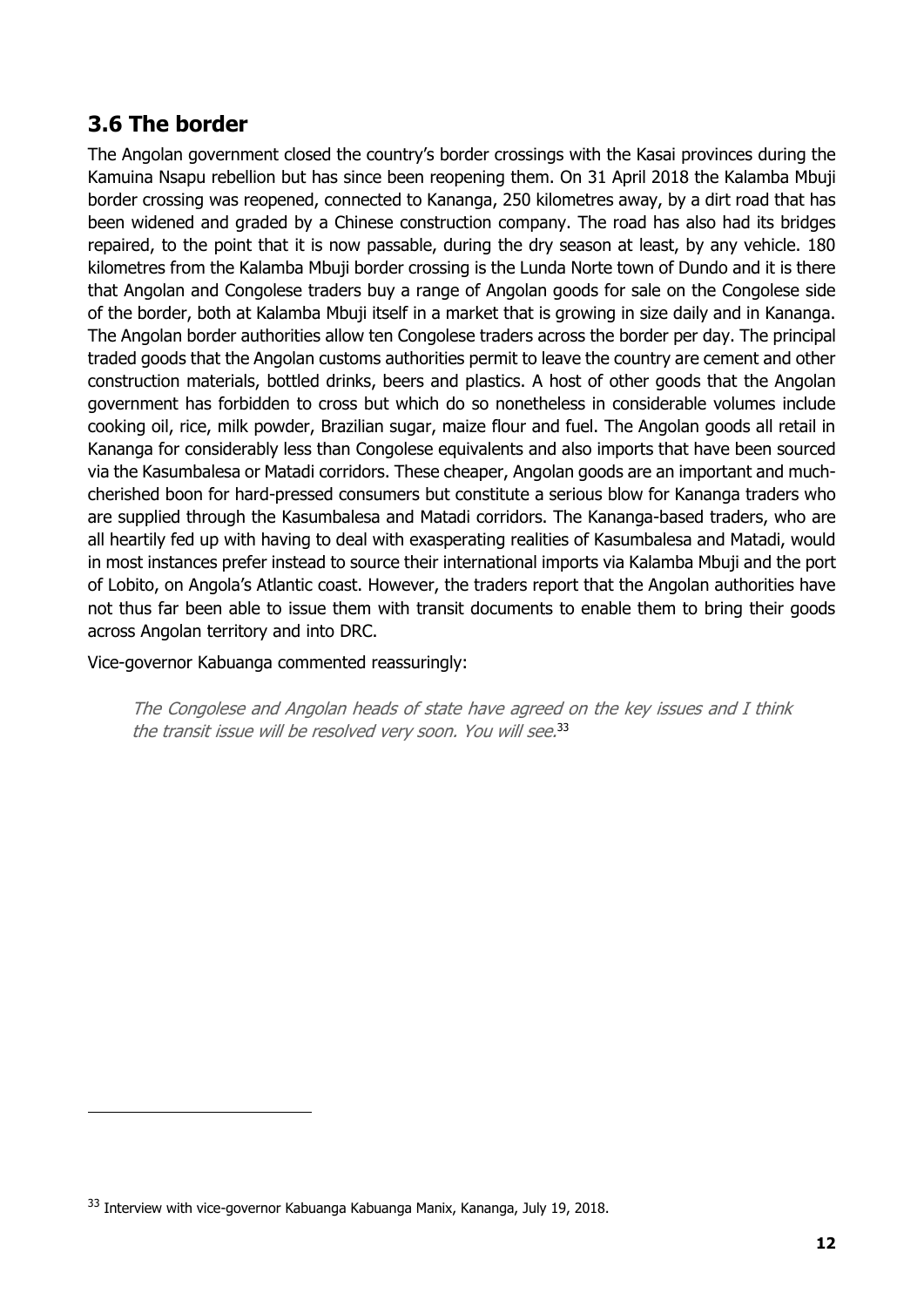### <span id="page-14-0"></span>**3.6 The border**

The Angolan government closed the country's border crossings with the Kasai provinces during the Kamuina Nsapu rebellion but has since been reopening them. On 31 April 2018 the Kalamba Mbuji border crossing was reopened, connected to Kananga, 250 kilometres away, by a dirt road that has been widened and graded by a Chinese construction company. The road has also had its bridges repaired, to the point that it is now passable, during the dry season at least, by any vehicle. 180 kilometres from the Kalamba Mbuji border crossing is the Lunda Norte town of Dundo and it is there that Angolan and Congolese traders buy a range of Angolan goods for sale on the Congolese side of the border, both at Kalamba Mbuji itself in a market that is growing in size daily and in Kananga. The Angolan border authorities allow ten Congolese traders across the border per day. The principal traded goods that the Angolan customs authorities permit to leave the country are cement and other construction materials, bottled drinks, beers and plastics. A host of other goods that the Angolan government has forbidden to cross but which do so nonetheless in considerable volumes include cooking oil, rice, milk powder, Brazilian sugar, maize flour and fuel. The Angolan goods all retail in Kananga for considerably less than Congolese equivalents and also imports that have been sourced via the Kasumbalesa or Matadi corridors. These cheaper, Angolan goods are an important and muchcherished boon for hard-pressed consumers but constitute a serious blow for Kananga traders who are supplied through the Kasumbalesa and Matadi corridors. The Kananga-based traders, who are all heartily fed up with having to deal with exasperating realities of Kasumbalesa and Matadi, would in most instances prefer instead to source their international imports via Kalamba Mbuji and the port of Lobito, on Angola's Atlantic coast. However, the traders report that the Angolan authorities have not thus far been able to issue them with transit documents to enable them to bring their goods across Angolan territory and into DRC.

Vice-governor Kabuanga commented reassuringly:

The Congolese and Angolan heads of state have agreed on the key issues and I think the transit issue will be resolved very soon. You will see.<sup>33</sup>

<sup>&</sup>lt;sup>33</sup> Interview with vice-governor Kabuanga Kabuanga Manix, Kananga, July 19, 2018.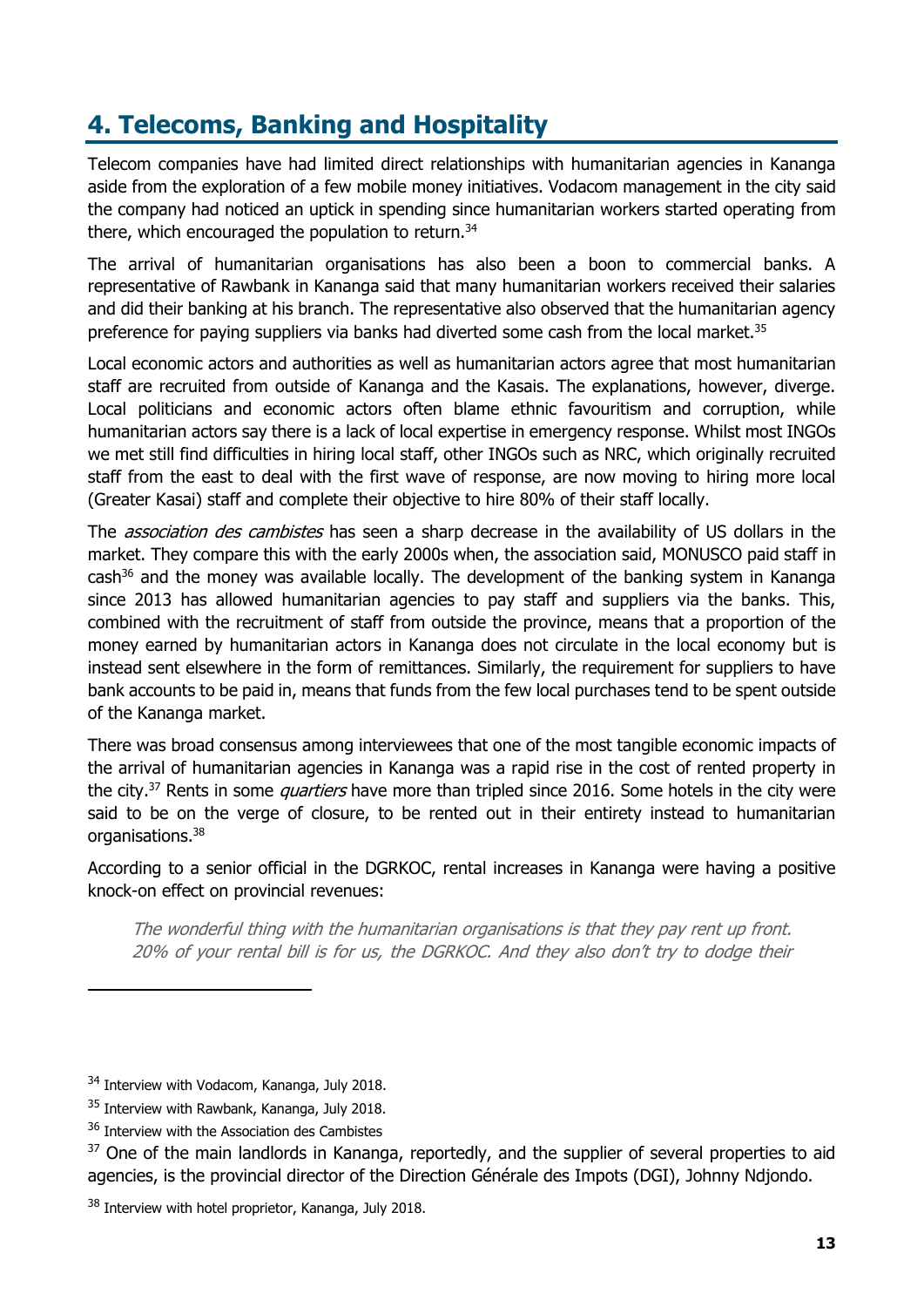## <span id="page-15-0"></span>**4. Telecoms, Banking and Hospitality**

Telecom companies have had limited direct relationships with humanitarian agencies in Kananga aside from the exploration of a few mobile money initiatives. Vodacom management in the city said the company had noticed an uptick in spending since humanitarian workers started operating from there, which encouraged the population to return.<sup>34</sup>

The arrival of humanitarian organisations has also been a boon to commercial banks. A representative of Rawbank in Kananga said that many humanitarian workers received their salaries and did their banking at his branch. The representative also observed that the humanitarian agency preference for paying suppliers via banks had diverted some cash from the local market.<sup>35</sup>

Local economic actors and authorities as well as humanitarian actors agree that most humanitarian staff are recruited from outside of Kananga and the Kasais. The explanations, however, diverge. Local politicians and economic actors often blame ethnic favouritism and corruption, while humanitarian actors say there is a lack of local expertise in emergency response. Whilst most INGOs we met still find difficulties in hiring local staff, other INGOs such as NRC, which originally recruited staff from the east to deal with the first wave of response, are now moving to hiring more local (Greater Kasai) staff and complete their objective to hire 80% of their staff locally.

The *association des cambistes* has seen a sharp decrease in the availability of US dollars in the market. They compare this with the early 2000s when, the association said, MONUSCO paid staff in  $cash^{36}$  and the money was available locally. The development of the banking system in Kananga since 2013 has allowed humanitarian agencies to pay staff and suppliers via the banks. This, combined with the recruitment of staff from outside the province, means that a proportion of the money earned by humanitarian actors in Kananga does not circulate in the local economy but is instead sent elsewhere in the form of remittances. Similarly, the requirement for suppliers to have bank accounts to be paid in, means that funds from the few local purchases tend to be spent outside of the Kananga market.

There was broad consensus among interviewees that one of the most tangible economic impacts of the arrival of humanitarian agencies in Kananga was a rapid rise in the cost of rented property in the city.<sup>37</sup> Rents in some *quartiers* have more than tripled since 2016. Some hotels in the city were said to be on the verge of closure, to be rented out in their entirety instead to humanitarian organisations.<sup>38</sup>

According to a senior official in the DGRKOC, rental increases in Kananga were having a positive knock-on effect on provincial revenues:

The wonderful thing with the humanitarian organisations is that they pay rent up front. 20% of your rental bill is for us, the DGRKOC. And they also don't try to dodge their

<sup>&</sup>lt;sup>34</sup> Interview with Vodacom, Kananga, July 2018.

<sup>&</sup>lt;sup>35</sup> Interview with Rawbank, Kananga, July 2018.

<sup>&</sup>lt;sup>36</sup> Interview with the Association des Cambistes

<sup>&</sup>lt;sup>37</sup> One of the main landlords in Kananga, reportedly, and the supplier of several properties to aid agencies, is the provincial director of the Direction Générale des Impots (DGI), Johnny Ndjondo.

<sup>&</sup>lt;sup>38</sup> Interview with hotel proprietor, Kananga, July 2018.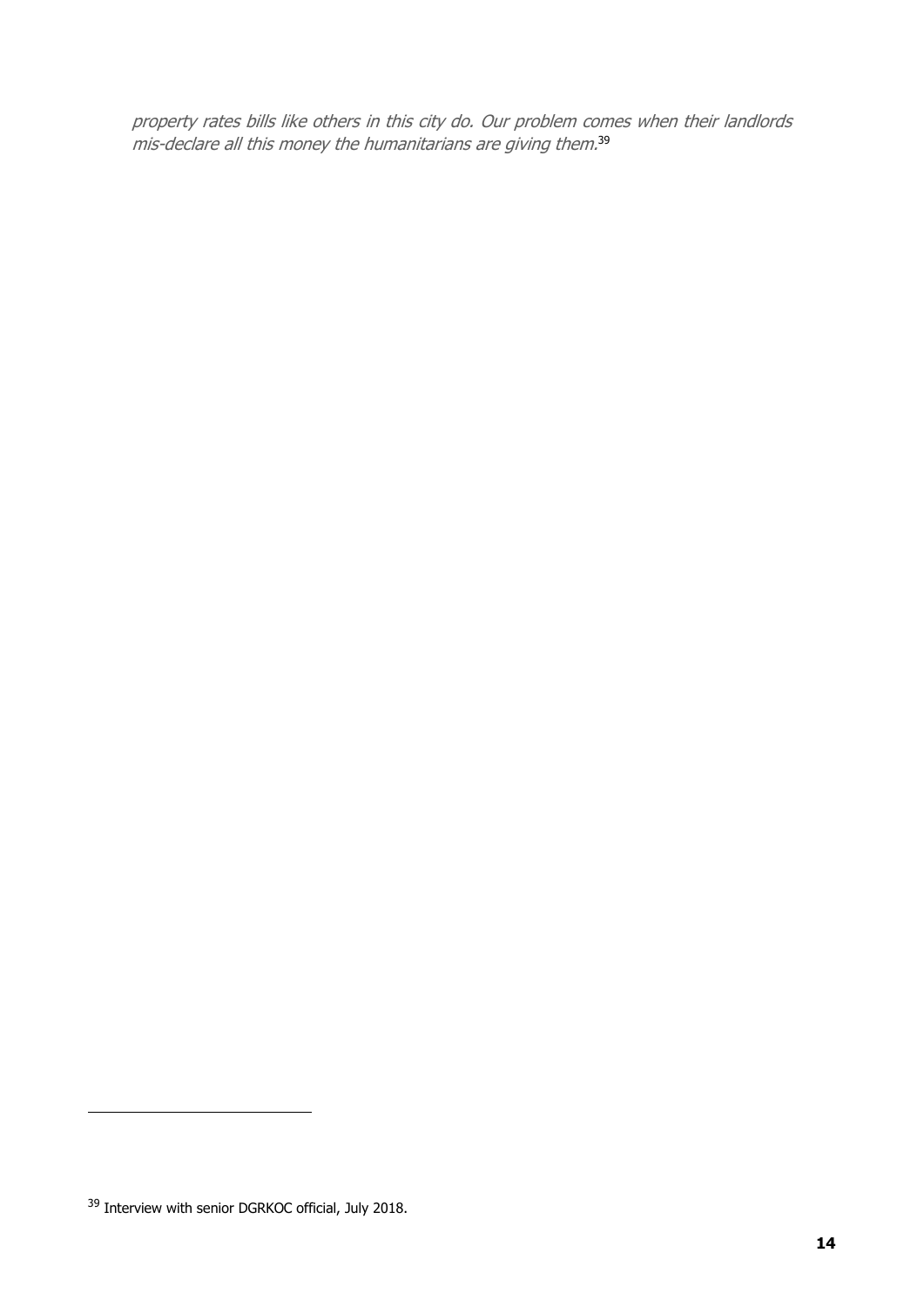property rates bills like others in this city do. Our problem comes when their landlords mis-declare all this money the humanitarians are giving them. 39

<sup>&</sup>lt;sup>39</sup> Interview with senior DGRKOC official, July 2018.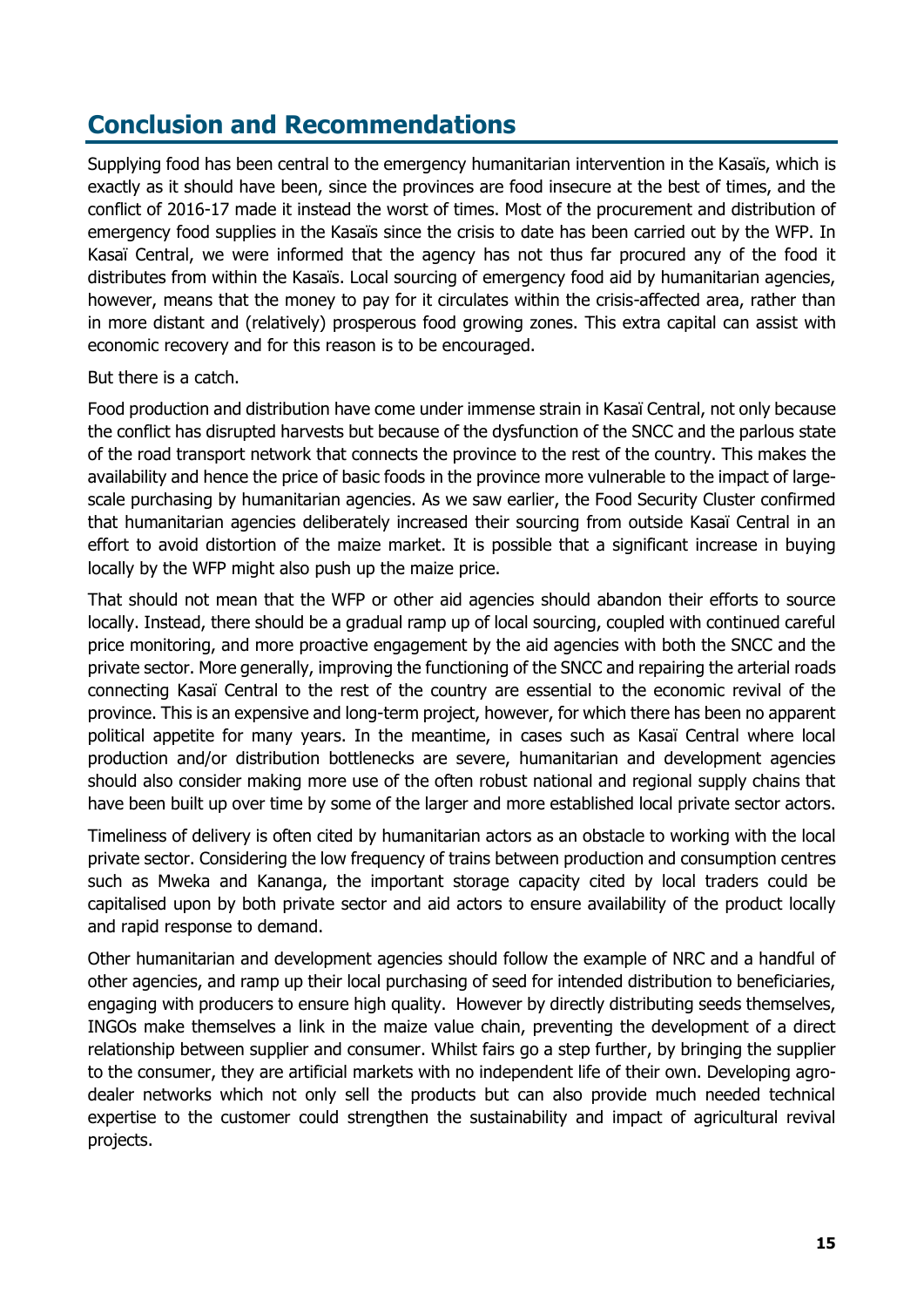### <span id="page-17-0"></span>**Conclusion and Recommendations**

Supplying food has been central to the emergency humanitarian intervention in the Kasaïs, which is exactly as it should have been, since the provinces are food insecure at the best of times, and the conflict of 2016-17 made it instead the worst of times. Most of the procurement and distribution of emergency food supplies in the Kasaïs since the crisis to date has been carried out by the WFP. In Kasaï Central, we were informed that the agency has not thus far procured any of the food it distributes from within the Kasaïs. Local sourcing of emergency food aid by humanitarian agencies, however, means that the money to pay for it circulates within the crisis-affected area, rather than in more distant and (relatively) prosperous food growing zones. This extra capital can assist with economic recovery and for this reason is to be encouraged.

#### But there is a catch.

Food production and distribution have come under immense strain in Kasaï Central, not only because the conflict has disrupted harvests but because of the dysfunction of the SNCC and the parlous state of the road transport network that connects the province to the rest of the country. This makes the availability and hence the price of basic foods in the province more vulnerable to the impact of largescale purchasing by humanitarian agencies. As we saw earlier, the Food Security Cluster confirmed that humanitarian agencies deliberately increased their sourcing from outside Kasaï Central in an effort to avoid distortion of the maize market. It is possible that a significant increase in buying locally by the WFP might also push up the maize price.

That should not mean that the WFP or other aid agencies should abandon their efforts to source locally. Instead, there should be a gradual ramp up of local sourcing, coupled with continued careful price monitoring, and more proactive engagement by the aid agencies with both the SNCC and the private sector. More generally, improving the functioning of the SNCC and repairing the arterial roads connecting Kasaï Central to the rest of the country are essential to the economic revival of the province. This is an expensive and long-term project, however, for which there has been no apparent political appetite for many years. In the meantime, in cases such as Kasaï Central where local production and/or distribution bottlenecks are severe, humanitarian and development agencies should also consider making more use of the often robust national and regional supply chains that have been built up over time by some of the larger and more established local private sector actors.

Timeliness of delivery is often cited by humanitarian actors as an obstacle to working with the local private sector. Considering the low frequency of trains between production and consumption centres such as Mweka and Kananga, the important storage capacity cited by local traders could be capitalised upon by both private sector and aid actors to ensure availability of the product locally and rapid response to demand.

Other humanitarian and development agencies should follow the example of NRC and a handful of other agencies, and ramp up their local purchasing of seed for intended distribution to beneficiaries, engaging with producers to ensure high quality. However by directly distributing seeds themselves, INGOs make themselves a link in the maize value chain, preventing the development of a direct relationship between supplier and consumer. Whilst fairs go a step further, by bringing the supplier to the consumer, they are artificial markets with no independent life of their own. Developing agrodealer networks which not only sell the products but can also provide much needed technical expertise to the customer could strengthen the sustainability and impact of agricultural revival projects.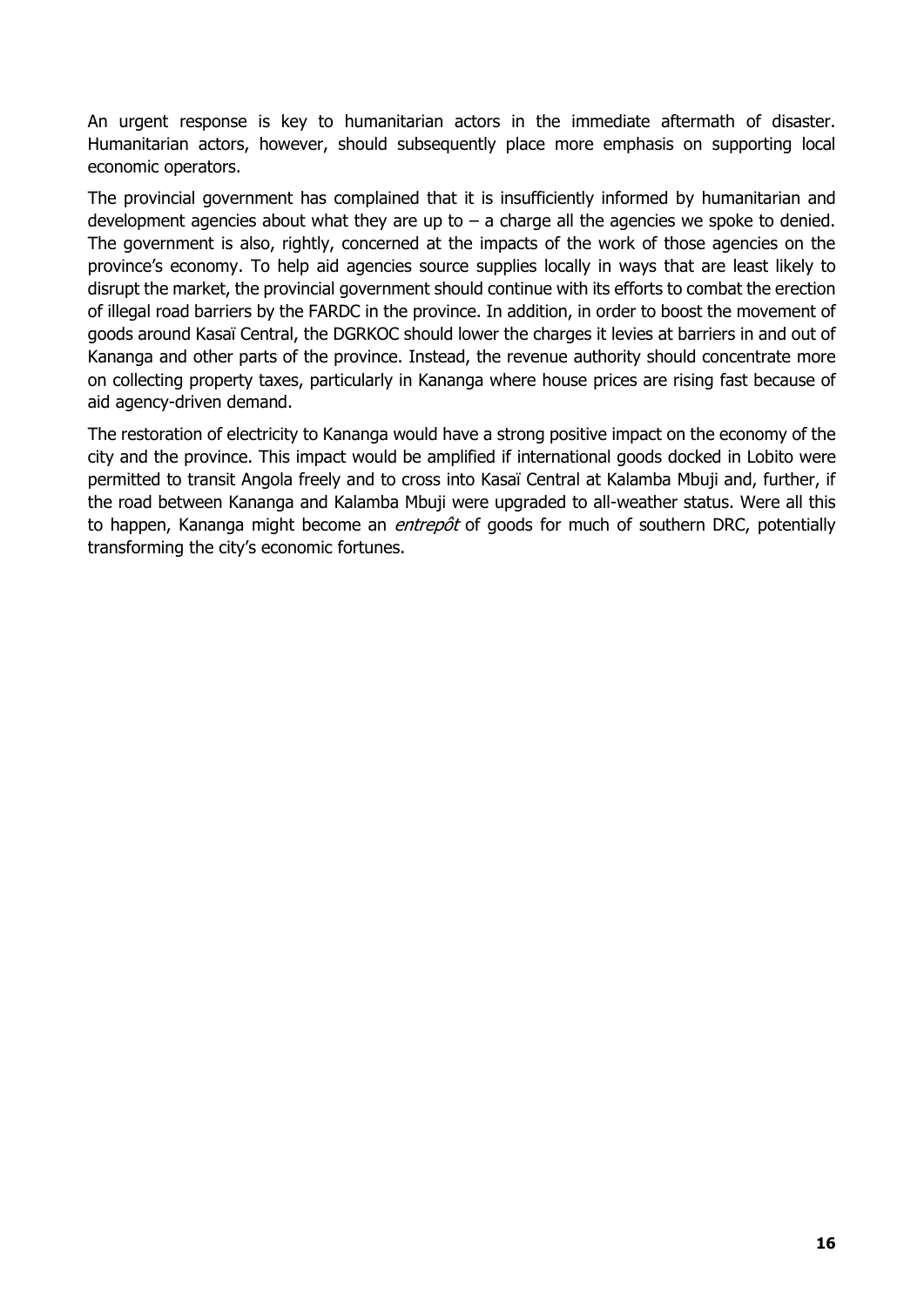An urgent response is key to humanitarian actors in the immediate aftermath of disaster. Humanitarian actors, however, should subsequently place more emphasis on supporting local economic operators.

The provincial government has complained that it is insufficiently informed by humanitarian and development agencies about what they are up to  $-$  a charge all the agencies we spoke to denied. The government is also, rightly, concerned at the impacts of the work of those agencies on the province's economy. To help aid agencies source supplies locally in ways that are least likely to disrupt the market, the provincial government should continue with its efforts to combat the erection of illegal road barriers by the FARDC in the province. In addition, in order to boost the movement of goods around Kasaï Central, the DGRKOC should lower the charges it levies at barriers in and out of Kananga and other parts of the province. Instead, the revenue authority should concentrate more on collecting property taxes, particularly in Kananga where house prices are rising fast because of aid agency-driven demand.

The restoration of electricity to Kananga would have a strong positive impact on the economy of the city and the province. This impact would be amplified if international goods docked in Lobito were permitted to transit Angola freely and to cross into Kasaï Central at Kalamba Mbuji and, further, if the road between Kananga and Kalamba Mbuji were upgraded to all-weather status. Were all this to happen, Kananga might become an *entrepôt* of goods for much of southern DRC, potentially transforming the city's economic fortunes.